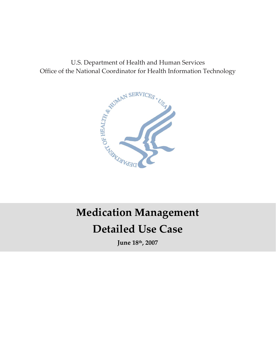U.S. Department of Health and Human Services Office of the National Coordinator for Health Information Technology



# **Detailed Use Case Medication Management**

**June 18th, 2007**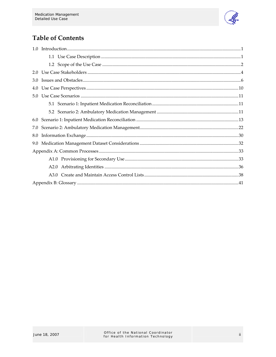

# **Table of Contents**

| 2.0 |  |
|-----|--|
| 3.0 |  |
| 4.0 |  |
| 5.0 |  |
|     |  |
|     |  |
| 6.0 |  |
| 7.0 |  |
| 8.0 |  |
|     |  |
|     |  |
|     |  |
|     |  |
|     |  |
|     |  |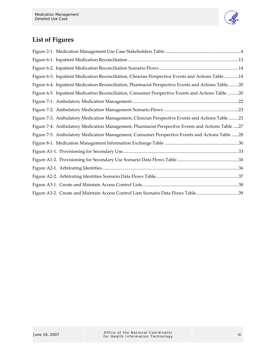

# **List of Figures**

| Figure 6-3. Inpatient Medication Reconciliation, Clinician Perspective Events and Actions Table14   |  |
|-----------------------------------------------------------------------------------------------------|--|
| Figure 6-4. Inpatient Medication Reconciliation, Pharmacist Perspective Events and Actions Table 20 |  |
| Figure 6-5. Inpatient Medication Reconciliation, Consumer Perspective Events and Actions Table 20   |  |
|                                                                                                     |  |
|                                                                                                     |  |
| Figure 7-3. Ambulatory Medication Management, Clinician Perspective Events and Actions Table 23     |  |
| Figure 7-4. Ambulatory Medication Management, Pharmacist Perspective Events and Actions Table  27   |  |
| Figure 7-5. Ambulatory Medication Management, Consumer Perspective Events and Actions Table 28      |  |
|                                                                                                     |  |
|                                                                                                     |  |
|                                                                                                     |  |
|                                                                                                     |  |
|                                                                                                     |  |
|                                                                                                     |  |
| Figure A3-2. Create and Maintain Access Control Lists Scenario Data Flows Table 39                  |  |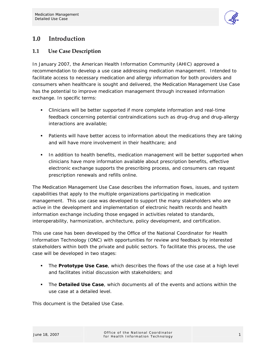

# **1.0 Introduction**

# **1.1 Use Case Description**

In January 2007, the American Health Information Community (AHIC) approved a recommendation to develop a use case addressing medication management. Intended to facilitate access to necessary medication and allergy information for both providers and consumers when healthcare is sought and delivered, the Medication Management Use Case has the potential to improve medication management through increased information exchange. In specific terms:

- Clinicians will be better supported if more complete information and real-time feedback concerning potential contraindications such as drug-drug and drug-allergy interactions are available;
- **Patients will have better access to information about the medications they are taking** and will have more involvement in their healthcare; and
- In addition to health benefits, medication management will be better supported when clinicians have more information available about prescription benefits, effective electronic exchange supports the prescribing process, and consumers can request prescription renewals and refills online.

The Medication Management Use Case describes the information flows, issues, and system capabilities that apply to the multiple organizations participating in medication management. This use case was developed to support the many stakeholders who are active in the development and implementation of electronic health records and health information exchange including those engaged in activities related to standards, interoperability, harmonization, architecture, policy development, and certification.

This use case has been developed by the Office of the National Coordinator for Health Information Technology (ONC) with opportunities for review and feedback by interested stakeholders within both the private and public sectors. To facilitate this process, the use case will be developed in two stages:

- The **Prototype Use Case**, which describes the flows of the use case at a high level and facilitates initial discussion with stakeholders; and
- The **Detailed Use Case**, which documents all of the events and actions within the use case at a detailed level.

This document is the Detailed Use Case.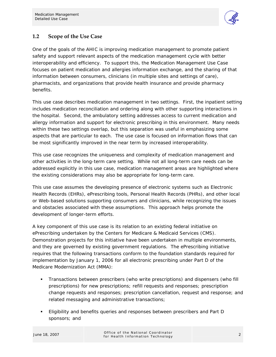

# **1.2 Scope of the Use Case**

One of the goals of the AHIC is improving medication management to promote patient safety and support relevant aspects of the medication management cycle with better interoperability and efficiency. To support this, the Medication Management Use Case focuses on patient medication and allergies information exchange, and the sharing of that information between consumers, clinicians (in multiple sites and settings of care), pharmacists, and organizations that provide health insurance and provide pharmacy benefits.

This use case describes medication management in two settings. First, the inpatient setting includes medication reconciliation and ordering along with other supporting interactions in the hospital. Second, the ambulatory setting addresses access to current medication and allergy information and support for electronic prescribing in this environment. Many needs within these two settings overlap, but this separation was useful in emphasizing some aspects that are particular to each. The use case is focused on information flows that can be most significantly improved in the near term by increased interoperability.

This use case recognizes the uniqueness and complexity of medication management and other activities in the long-term care setting. While not all long-term care needs can be addressed explicitly in this use case, medication management areas are highlighted where the existing considerations may also be appropriate for long-term care.

This use case assumes the developing presence of electronic systems such as Electronic Health Records (EHRs), ePrescribing tools, Personal Health Records (PHRs), and other local or Web-based solutions supporting consumers and clinicians, while recognizing the issues and obstacles associated with these assumptions. This approach helps promote the development of longer-term efforts.

A key component of this use case is its relation to an existing federal initiative on ePrescribing undertaken by the Centers for Medicare & Medicaid Services (CMS). Demonstration projects for this initiative have been undertaken in multiple environments, and they are governed by existing government regulations. The ePrescribing initiative requires that the following transactions conform to the foundation standards required for implementation by January 1, 2006 for all electronic prescribing under Part D of the Medicare Modernization Act (MMA):

- Transactions between prescribers (who write prescriptions) and dispensers (who fill prescriptions) for new prescriptions; refill requests and responses; prescription change requests and responses; prescription cancellation, request and response; and related messaging and administrative transactions;
- Eligibility and benefits queries and responses between prescribers and Part D sponsors; and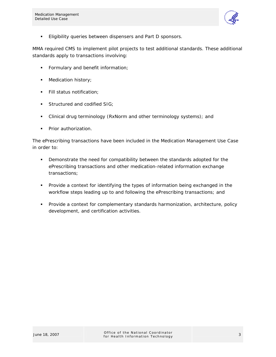

**Eligibility queries between dispensers and Part D sponsors.** 

MMA required CMS to implement pilot projects to test additional standards. These additional standards apply to transactions involving:

- **Formulary and benefit information;**
- **Medication history;**
- Fill status notification;
- **Structured and codified SIG;**
- Clinical drug terminology (RxNorm and other terminology systems); and
- **Prior authorization.**

The ePrescribing transactions have been included in the Medication Management Use Case in order to:

- **•** Demonstrate the need for compatibility between the standards adopted for the ePrescribing transactions and other medication-related information exchange transactions;
- Provide a context for identifying the types of information being exchanged in the workflow steps leading up to and following the ePrescribing transactions; and
- **Provide a context for complementary standards harmonization, architecture, policy** development, and certification activities.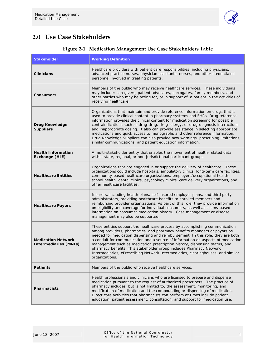

# **2.0 Use Case Stakeholders**

| <b>Stakeholder</b>                                        | <b>Working Definition</b>                                                                                                                                                                                                                                                                                                                                                                                                                                                                                                                                                                                                                                     |
|-----------------------------------------------------------|---------------------------------------------------------------------------------------------------------------------------------------------------------------------------------------------------------------------------------------------------------------------------------------------------------------------------------------------------------------------------------------------------------------------------------------------------------------------------------------------------------------------------------------------------------------------------------------------------------------------------------------------------------------|
| <b>Clinicians</b>                                         | Healthcare providers with patient care responsibilities, including physicians,<br>advanced practice nurses, physician assistants, nurses, and other credentialed<br>personnel involved in treating patients.                                                                                                                                                                                                                                                                                                                                                                                                                                                  |
| <b>Consumers</b>                                          | Members of the public who may receive healthcare services. These individuals<br>may include: caregivers, patient advocates, surrogates, family members, and<br>other parties who may be acting for, or in support of, a patient in the activities of<br>receiving healthcare.                                                                                                                                                                                                                                                                                                                                                                                 |
| <b>Drug Knowledge</b><br><b>Suppliers</b>                 | Organizations that maintain and provide reference information on drugs that is<br>used to provide clinical content in pharmacy systems and EHRs. Drug reference<br>information provides the clinical content for medication screening for possible<br>contraindications such as drug-drug, drug-allergy, or drug-diagnosis interactions<br>and inappropriate dosing. It also can provide assistance in selecting appropriate<br>medications and quick access to monographs and other reference information.<br>Drug Knowledge Suppliers can also provide new warnings, prescribing limitations,<br>similar communications, and patient education information. |
| <b>Health Information</b><br>Exchange (HIE)               | A multi-stakeholder entity that enables the movement of health-related data<br>within state, regional, or non-jurisdictional participant groups.                                                                                                                                                                                                                                                                                                                                                                                                                                                                                                              |
| <b>Healthcare Entities</b>                                | Organizations that are engaged in or support the delivery of healthcare. These<br>organizations could include hospitals, ambulatory clinics, long-term care facilities,<br>community-based healthcare organizations, employers/occupational health,<br>school health, dental clinics, psychology clinics, care delivery organizations, and<br>other healthcare facilities.                                                                                                                                                                                                                                                                                    |
| <b>Healthcare Payors</b>                                  | Insurers, including health plans, self-insured employer plans, and third party<br>administrators, providing healthcare benefits to enrolled members and<br>reimbursing provider organizations. As part of this role, they provide information<br>on eligibility and coverage for individual consumers, as well as claims-based<br>information on consumer medication history. Case management or disease<br>management may also be supported.                                                                                                                                                                                                                 |
| <b>Medication Network</b><br><b>Intermediaries (MNIs)</b> | These entities support the healthcare process by accomplishing communication<br>among providers, pharmacies, and pharmacy benefits managers or payors as<br>needed for medication dispensing and reimbursement. In this role, they are both<br>a conduit for communication and a source of information on aspects of medication<br>management such as medication prescription history, dispensing status, and<br>pharmacy benefits. This stakeholder group includes Pharmacy Network<br>Intermediaries, ePrescribing Network Intermediaries, clearinghouses, and similar<br>organizations.                                                                    |
| <b>Patients</b>                                           | Members of the public who receive healthcare services.                                                                                                                                                                                                                                                                                                                                                                                                                                                                                                                                                                                                        |
| <b>Pharmacists</b>                                        | Health professionals and clinicians who are licensed to prepare and dispense<br>medication pursuant to the request of authorized prescribers. The practice of<br>pharmacy includes, but is not limited to, the assessment, monitoring, and<br>modification of medication and the compounding or dispensing of medication.<br>Direct care activities that pharmacists can perform at times include patient<br>education, patient assessment, consultation, and support for medication use.                                                                                                                                                                     |

# **Figure 2-1. Medication Management Use Case Stakeholders Table**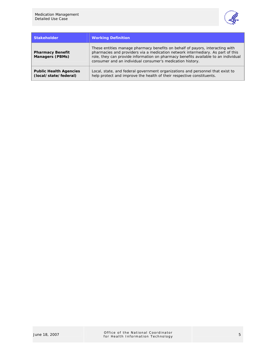

| <b>Stakeholder</b>                                     | <b>Working Definition</b>                                                                                                                                                                                                                                                                                           |
|--------------------------------------------------------|---------------------------------------------------------------------------------------------------------------------------------------------------------------------------------------------------------------------------------------------------------------------------------------------------------------------|
| <b>Pharmacy Benefit</b><br><b>Managers (PBMs)</b>      | These entities manage pharmacy benefits on behalf of payors, interacting with<br>pharmacies and providers via a medication network intermediary. As part of this<br>role, they can provide information on pharmacy benefits available to an individual<br>consumer and an individual consumer's medication history. |
| <b>Public Health Agencies</b><br>(local/state/federal) | Local, state, and federal government organizations and personnel that exist to<br>help protect and improve the health of their respective constituents.                                                                                                                                                             |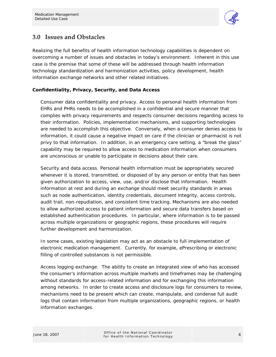

# **3.0 Issues and Obstacles**

Realizing the full benefits of health information technology capabilities is dependent on overcoming a number of issues and obstacles in today's environment. Inherent in this use case is the premise that some of these will be addressed through health information technology standardization and harmonization activities, policy development, health information exchange networks and other related initiatives.

### **Confidentiality, Privacy, Security, and Data Access**

*Consumer data confidentiality and privacy.* Access to personal health information from EHRs and PHRs needs to be accomplished in a confidential and secure manner that complies with privacy requirements and respects consumer decisions regarding access to their information. Policies, implementation mechanisms, and supporting technologies are needed to accomplish this objective. Conversely, when a consumer denies access to information, it could cause a negative impact on care if the clinician or pharmacist is not privy to that information. In addition, in an emergency care setting, a "break the glass" capability may be required to allow access to medication information when consumers are unconscious or unable to participate in decisions about their care.

*Security and data access.* Personal health information must be appropriately secured whenever it is stored, transmitted, or disposed of by any person or entity that has been given authorization to access, view, use, and/or disclose that information. Health information at rest and during an exchange should meet security standards in areas such as node authentication, identity credentials, document integrity, access controls, audit trail, non-repudiation, and consistent time tracking. Mechanisms are also needed to allow authorized access to patient information and secure data transfers based on established authentication procedures. In particular, where information is to be passed across multiple organizations or geographic regions, these procedures will require further development and harmonization.

In some cases, existing legislation may act as an obstacle to full implementation of electronic medication management. Currently, for example, ePrescribing or electronic filling of controlled substances is not permissible.

*Access logging exchange.* The ability to create an integrated view of who has accessed the consumer's information across multiple markets and timeframes may be challenging without standards for access-related information and for exchanging this information among networks. In order to create access and disclosure logs for consumers to review, mechanisms need to be present which can create, manipulate, and condense full audit logs that contain information from multiple organizations, geographic regions, or health information exchanges.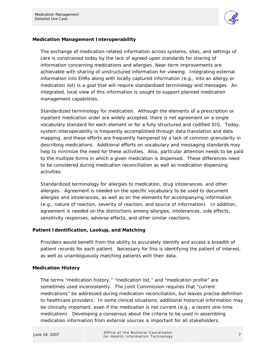

### **Medication Management Interoperability**

The exchange of medication-related information across systems, sites, and settings of care is constrained today by the lack of agreed-upon standards for sharing of information concerning medications and allergies. Near-term improvements are achievable with sharing of unstructured information for viewing. Integrating external information into EHRs along with locally captured information (e.g., into an allergy or medication list) is a goal that will require standardized terminology and messages. An integrated, local view of this information is sought to support planned medication management capabilities.

*Standardized terminology for medication.* Although the elements of a prescription or inpatient medication order are widely accepted, there is not agreement on a single vocabulary standard for each element or for a fully structured and codified SIG. Today, system interoperability is frequently accomplished through data translation and data mapping, and these efforts are frequently hampered by a lack of common granularity in describing medications. Additional efforts on vocabulary and messaging standards may help to minimize the need for these activities. Also, particular attention needs to be paid to the multiple forms in which a given medication is dispensed. These differences need to be considered during medication reconciliation as well as medication dispensing activities.

*Standardized terminology for allergies to medication, drug intolerances, and other allergies.* Agreement is needed on the specific vocabulary to be used to document allergies and intolerances, as well as on the elements for accompanying information (e.g., nature of reaction, severity of reaction, and source of information). In addition, agreement is needed on the distinctions among allergies, intolerances, side effects, sensitivity responses, adverse effects, and other similar reactions.

### **Patient Identification, Lookup, and Matching**

Providers would benefit from the ability to accurately identify and access a breadth of patient records for each patient. Necessary for this is identifying the patient of interest, as well as unambiguously matching patients with their data.

### **Medication History**

The terms "medication history," "medication list," and "medication profile" are sometimes used inconsistently. The Joint Commission requires that "current medications" be addressed during medication reconciliation, but leaves precise definition to healthcare providers. In some clinical situations, additional historical information may be clinically important, even if the medication is not current (e.g., a recent one-time medication). Developing a consensus about the criteria to be used in assembling medication information from external sources is important for all stakeholders.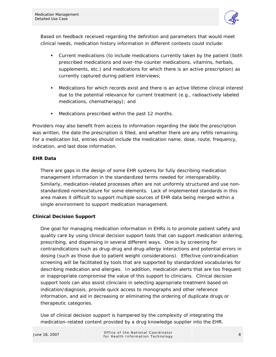

Based on feedback received regarding the definition and parameters that would meet clinical needs, medication history information in different contexts could include:

- Current medications (to include medications currently taken by the patient (both prescribed medications and over-the-counter medications, vitamins, herbals, supplements, etc.) and medications for which there is an active prescription) as currently captured during patient interviews;
- Medications for which records exist and there is an active lifetime clinical interest due to the potential relevance for current treatment (e.g., radioactively labeled medications, chemotherapy); and
- **Medications prescribed within the past 12 months.**

Providers may also benefit from access to information regarding the date the prescription was written, the date the prescription is filled, and whether there are any refills remaining. For a medication list, entries should include the medication name, dose, route, frequency, indication, and last dose information.

### **EHR Data**

There are gaps in the design of some EHR systems for fully describing medication management information in the standardized terms needed for interoperability. Similarly, medication-related processes often are not uniformly structured and use nonstandardized nomenclature for some elements. Lack of implemented standards in this area makes it difficult to support multiple sources of EHR data being merged within a single environment to support medication management.

### **Clinical Decision Support**

One goal for managing medication information in EHRs is to promote patient safety and quality care by using clinical decision support tools that can support medication ordering, prescribing, and dispensing in several different ways. One is by screening for contraindications such as drug-drug and drug-allergy interactions and potential errors in dosing (such as those due to patient weight considerations). Effective contraindication screening will be facilitated by tools that are supported by standardized vocabularies for describing medication and allergies. In addition, medication alerts that are too frequent or inappropriate compromise the value of this support to clinicians. Clinical decision support tools can also assist clinicians in selecting appropriate treatment based on indication/diagnosis, provide quick access to monographs and other reference information, and aid in decreasing or eliminating the ordering of duplicate drugs or therapeutic categories.

Use of clinical decision support is hampered by the complexity of integrating the medication-related content provided by a drug knowledge supplier into the EHR.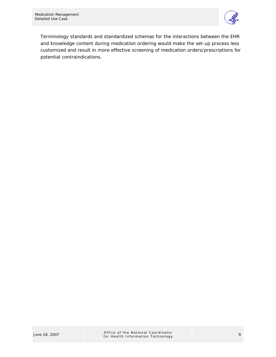

Terminology standards and standardized schemas for the interactions between the EHR and knowledge content during medication ordering would make the set-up process less customized and result in more effective screening of medication orders/prescriptions for potential contraindications.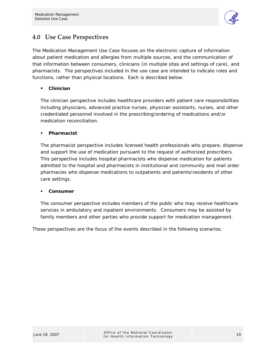

# **4.0 Use Case Perspectives**

The Medication Management Use Case focuses on the electronic capture of information about patient medication and allergies from multiple sources, and the communication of that information between consumers, clinicians (in multiple sites and settings of care), and pharmacists. The perspectives included in the use case are intended to indicate roles and functions, rather than physical locations. Each is described below:

# *Clinician*

The clinician perspective includes healthcare providers with patient care responsibilities including physicians, advanced practice nurses, physician assistants, nurses, and other credentialed personnel involved in the prescribing/ordering of medications and/or medication reconciliation.

### *Pharmacist*

The pharmacist perspective includes licensed health professionals who prepare, dispense and support the use of medication pursuant to the request of authorized prescribers. This perspective includes hospital pharmacists who dispense medication for patients admitted to the hospital and pharmacists in institutional and community and mail order pharmacies who dispense medications to outpatients and patients/residents of other care settings.

### *Consumer*

The consumer perspective includes members of the public who may receive healthcare services in ambulatory and inpatient environments. Consumers may be assisted by family members and other parties who provide support for medication management.

These perspectives are the focus of the events described in the following scenarios.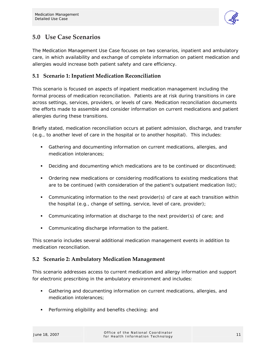

# **5.0 Use Case Scenarios**

The Medication Management Use Case focuses on two scenarios, inpatient and ambulatory care, in which availability and exchange of complete information on patient medication and allergies would increase both patient safety and care efficiency.

# **5.1 Scenario 1: Inpatient Medication Reconciliation**

This scenario is focused on aspects of inpatient medication management including the formal process of medication reconciliation. Patients are at risk during transitions in care across settings, services, providers, or levels of care. Medication reconciliation documents the efforts made to assemble and consider information on current medications and patient allergies during these transitions.

Briefly stated, medication reconciliation occurs at patient admission, discharge, and transfer (e.g., to another level of care in the hospital or to another hospital). This includes:

- Gathering and documenting information on current medications, allergies, and medication intolerances;
- **Deciding and documenting which medications are to be continued or discontinued;**
- Ordering new medications or considering modifications to existing medications that are to be continued (with consideration of the patient's outpatient medication list);
- Communicating information to the next provider(s) of care at each transition within the hospital (e.g., change of setting, service, level of care, provider);
- Communicating information at discharge to the next provider(s) of care; and
- Communicating discharge information to the patient.

This scenario includes several additional medication management events in addition to medication reconciliation.

# **5.2 Scenario 2: Ambulatory Medication Management**

This scenario addresses access to current medication and allergy information and support for electronic prescribing in the ambulatory environment and includes:

- Gathering and documenting information on current medications, allergies, and medication intolerances;
- **Performing eligibility and benefits checking; and**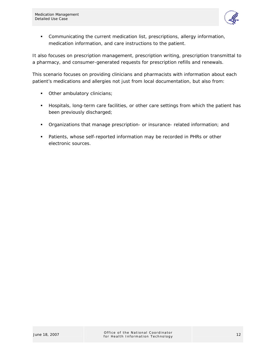

 Communicating the current medication list, prescriptions, allergy information, medication information, and care instructions to the patient.

It also focuses on prescription management, prescription writing, prescription transmittal to a pharmacy, and consumer-generated requests for prescription refills and renewals.

This scenario focuses on providing clinicians and pharmacists with information about each patient's medications and allergies not just from local documentation, but also from:

- **•** Other ambulatory clinicians;
- **Hospitals, long-term care facilities, or other care settings from which the patient has** been previously discharged;
- Organizations that manage prescription- or insurance- related information; and
- Patients, whose self-reported information may be recorded in PHRs or other electronic sources.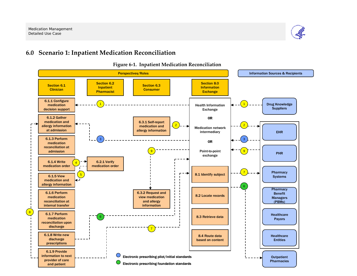

# **6.0 Scenario 1: Inpatient Medication Reconciliation**

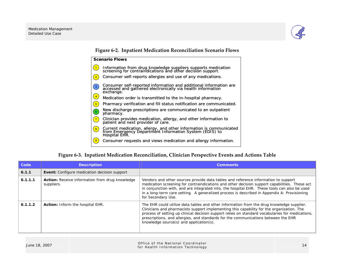

**Figure 6-2. Inpatient Medication Reconciliation Scenario Flows** 



### **Figure 6-3. Inpatient Medication Reconciliation, Clinician Perspective Events and Actions Table**

| Code    | <b>Description</b>                                            | <b>Comments</b>                                                                                                                                                                                                                                                                                                                                                                                                             |
|---------|---------------------------------------------------------------|-----------------------------------------------------------------------------------------------------------------------------------------------------------------------------------------------------------------------------------------------------------------------------------------------------------------------------------------------------------------------------------------------------------------------------|
| 6.1.1   | <b>Event:</b> Configure medication decision support           |                                                                                                                                                                                                                                                                                                                                                                                                                             |
| 6.1.1.1 | Action: Receive information from drug knowledge<br>suppliers. | Vendors and other sources provide data tables and reference information to support<br>medication screening for contraindications and other decision support capabilities. These act<br>in conjunction with, and are integrated into, the hospital EHR. These tools can also be used<br>in a long-term care setting. A generalized process is described in Appendix A: Provisioning<br>for Secondary Use.                    |
| 6.1.1.2 | <b>Action:</b> Inform the hospital EHR.                       | The EHR could utilize data tables and other information from the drug knowledge supplier.<br>Clinicians and pharmacists support implementing this capability for the organization. The<br>process of setting up clinical decision support relies on standard vocabularies for medications,<br>prescriptions, and allergies, and standards for the communications between the EHR<br>knowledge source(s) and application(s). |

| June 18, 2007 | Office of the National Coordinator<br>for Health Information Technology |  |
|---------------|-------------------------------------------------------------------------|--|
|---------------|-------------------------------------------------------------------------|--|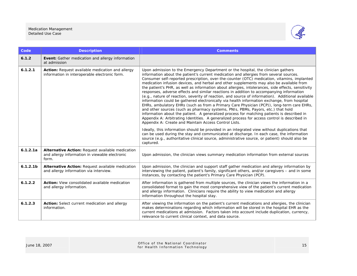

| Code                 | <b>Description</b>                                                                                          | <b>Comments</b>                                                                                                                                                                                                                                                                                                                                                                                                                                                                                                                                                                                                                                                                                                                                                                                                                                                                                                                                                                                                                                                                                                                                                                                                      |
|----------------------|-------------------------------------------------------------------------------------------------------------|----------------------------------------------------------------------------------------------------------------------------------------------------------------------------------------------------------------------------------------------------------------------------------------------------------------------------------------------------------------------------------------------------------------------------------------------------------------------------------------------------------------------------------------------------------------------------------------------------------------------------------------------------------------------------------------------------------------------------------------------------------------------------------------------------------------------------------------------------------------------------------------------------------------------------------------------------------------------------------------------------------------------------------------------------------------------------------------------------------------------------------------------------------------------------------------------------------------------|
| 6.1.2                | Event: Gather medication and allergy information<br>at admission                                            |                                                                                                                                                                                                                                                                                                                                                                                                                                                                                                                                                                                                                                                                                                                                                                                                                                                                                                                                                                                                                                                                                                                                                                                                                      |
| 6.1.2.1              | Action: Request available medication and allergy<br>information in interoperable electronic form.           | Upon admission to the Emergency Department or the hospital, the clinician gathers<br>information about the patient's current medication and allergies from several sources.<br>Consumer self-reported prescription, over-the-counter (OTC) medication, vitamins, implanted<br>medication infusion devices, and herbal and other supplements may also be available from<br>the patient's PHR, as well as information about allergies, intolerances, side effects, sensitivity<br>responses, adverse effects and similar reactions in addition to accompanying information<br>(e.g., nature of reaction, severity of reaction, and source of information). Additional available<br>information could be gathered electronically via health information exchange, from hospital<br>EHRs, ambulatory EHRs (such as from a Primary Care Physician (PCP)), long-term care EHRs,<br>and other sources (such as pharmacy systems, PNIs, PBMs, Payors, etc.) that hold<br>information about the patient. A generalized process for matching patients is described in<br>Appendix A: Arbitrating Identities. A generalized process for access control is described in<br>Appendix A: Create and Maintain Access Control Lists. |
|                      |                                                                                                             | Ideally, this information should be provided in an integrated view without duplications that<br>can be used during the stay and communicated at discharge. In each case, the information<br>source (e.g., authoritative clinical source, administrative source, or patient) should also be<br>captured.                                                                                                                                                                                                                                                                                                                                                                                                                                                                                                                                                                                                                                                                                                                                                                                                                                                                                                              |
| 6.1.2.1a             | Alternative Action: Request available medication<br>and allergy information in viewable electronic<br>form. | Upon admission, the clinician views summary medication information from external sources                                                                                                                                                                                                                                                                                                                                                                                                                                                                                                                                                                                                                                                                                                                                                                                                                                                                                                                                                                                                                                                                                                                             |
| 6.1.2.1 <sub>b</sub> | Alternative Action: Request available medication<br>and allergy information via interview.                  | Upon admission, the clinician and support staff gather medication and allergy information by<br>interviewing the patient, patient's family, significant others, and/or caregivers - and in some<br>instances, by contacting the patient's Primary Care Physician (PCP).                                                                                                                                                                                                                                                                                                                                                                                                                                                                                                                                                                                                                                                                                                                                                                                                                                                                                                                                              |
| 6.1.2.2              | Action: View consolidated available medication<br>and allergy information.                                  | After information is gathered from multiple sources, the clinician views the information in a<br>consolidated format to gain the most comprehensive view of the patient's current medication<br>and allergy information. Clinicians require the ability to view medication and allergy<br>information throughout the hospital stay.                                                                                                                                                                                                                                                                                                                                                                                                                                                                                                                                                                                                                                                                                                                                                                                                                                                                                  |
| 6.1.2.3              | Action: Select current medication and allergy<br>information.                                               | After viewing the information on the patient's current medications and allergies, the clinician<br>makes determinations regarding which information will be stored in the hospital EHR as the<br>current medications at admission. Factors taken into account include duplication, currency,<br>relevance to current clinical context, and data source.                                                                                                                                                                                                                                                                                                                                                                                                                                                                                                                                                                                                                                                                                                                                                                                                                                                              |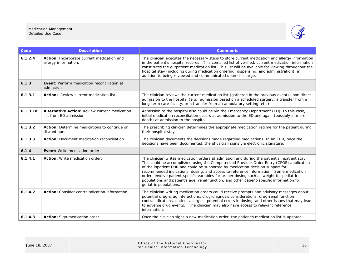#### Medication Management Detailed Use Case



| Code     | <b>Description</b>                                                              | <b>Comments</b>                                                                                                                                                                                                                                                                                                                                                                                                                                                                                                                                                                         |
|----------|---------------------------------------------------------------------------------|-----------------------------------------------------------------------------------------------------------------------------------------------------------------------------------------------------------------------------------------------------------------------------------------------------------------------------------------------------------------------------------------------------------------------------------------------------------------------------------------------------------------------------------------------------------------------------------------|
| 6.1.2.4  | Action: Incorporate current medication and<br>allergy information.              | The clinician executes the necessary steps to store current medication and allergy information<br>in the patient's hospital records. This compiled list of verified, current medication information<br>constitutes the outpatient medication list. This list will be available for viewing throughout the<br>hospital stay (including during medication ordering, dispensing, and administration), in<br>addition to being reviewed and communicated upon discharge.                                                                                                                    |
| 6.1.3    | Event: Perform medication reconciliation at<br>admission                        |                                                                                                                                                                                                                                                                                                                                                                                                                                                                                                                                                                                         |
| 6.1.3.1  | Action: Review current medication list.                                         | The clinician reviews the current medication list (gathered in the previous event) upon direct<br>admission to the hospital (e.g., admission based on a scheduled surgery, a transfer from a<br>long-term care facility, or a transfer from an ambulatory setting, etc.).                                                                                                                                                                                                                                                                                                               |
| 6.1.3.1a | <b>Alternative Action: Review current medication</b><br>list from ED admission. | Admission to the hospital also could be via the Emergency Department (ED). In this case,<br>initial medication reconciliation occurs at admission to the ED and again (possibly in more<br>depth) at admission to the hospital.                                                                                                                                                                                                                                                                                                                                                         |
| 6.1.3.2  | Action: Determine medications to continue or<br>discontinue.                    | The prescribing clinician determines the appropriate medication regime for the patient during<br>their hospital stay.                                                                                                                                                                                                                                                                                                                                                                                                                                                                   |
| 6.1.3.3  | Action: Document medication reconciliation.                                     | The clinician documents the decisions made regarding medications. In an EHR, once the<br>decisions have been documented, the physician signs via electronic signature.                                                                                                                                                                                                                                                                                                                                                                                                                  |
| 6.1.4    | Event: Write medication order                                                   |                                                                                                                                                                                                                                                                                                                                                                                                                                                                                                                                                                                         |
| 6.1.4.1  | Action: Write medication order.                                                 | The clinician writes medication orders at admission and during the patient's inpatient stay.<br>This could be accomplished using the Computerized Provider Order Entry (CPOE) application<br>of the inpatient EHR and could be supported by medication decision support for<br>recommended indications, dosing, and access to reference information. Some medication<br>orders involve patient-specific variables for proper dosing such as weight for pediatric<br>populations and patient's age, renal function, and other patient-specific information for<br>geriatric populations. |
| 6.1.4.2  | Action: Consider contraindication information.                                  | The clinician writing medication orders could receive prompts and advisory messages about<br>potential drug-drug interactions, drug-diagnosis considerations, drug-renal function<br>contraindications, patient allergies, potential errors in dosing, and other issues that may lead<br>to adverse drug events. The clinician may also have access to relevant reference<br>information.                                                                                                                                                                                               |
| 6.1.4.3  | Action: Sign medication order.                                                  | Once the clinician signs a new medication order, the patient's medication list is updated.                                                                                                                                                                                                                                                                                                                                                                                                                                                                                              |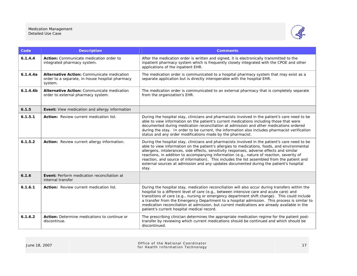#### Medication Management Detailed Use Case



| Code                 | <b>Description</b>                                                                                       | <b>Comments</b>                                                                                                                                                                                                                                                                                                                                                                                                                                                                                                                                                                            |
|----------------------|----------------------------------------------------------------------------------------------------------|--------------------------------------------------------------------------------------------------------------------------------------------------------------------------------------------------------------------------------------------------------------------------------------------------------------------------------------------------------------------------------------------------------------------------------------------------------------------------------------------------------------------------------------------------------------------------------------------|
| 6.1.4.4              | Action: Communicate medication order to<br>integrated pharmacy system.                                   | After the medication order is written and signed, it is electronically transmitted to the<br>inpatient pharmacy system which is frequently closely integrated with the CPOE and other<br>applications of the inpatient EHR.                                                                                                                                                                                                                                                                                                                                                                |
| 6.1.4.4a             | Alternative Action: Communicate medication<br>order to a separate, in-house hospital pharmacy<br>system. | The medication order is communicated to a hospital pharmacy system that may exist as a<br>separate application but is directly interoperable with the hospital EHR.                                                                                                                                                                                                                                                                                                                                                                                                                        |
| 6.1.4.4 <sub>b</sub> | Alternative Action: Communicate medication<br>order to external pharmacy system.                         | The medication order is communicated to an external pharmacy that is completely separate<br>from the organization's EHR.                                                                                                                                                                                                                                                                                                                                                                                                                                                                   |
| 6.1.5                | Event: View medication and allergy information                                                           |                                                                                                                                                                                                                                                                                                                                                                                                                                                                                                                                                                                            |
| 6.1.5.1              | Action: Review current medication list.                                                                  | During the hospital stay, clinicians and pharmacists involved in the patient's care need to be<br>able to view information on the patient's current medications including those that were<br>documented during medication reconciliation at admission and other medications ordered<br>during the stay. In order to be current, the information also includes pharmacist verification<br>status and any order modifications made by the pharmacist.                                                                                                                                        |
| 6.1.5.2              | Action: Review current allergy information.                                                              | During the hospital stay, clinicians and pharmacists involved in the patient's care need to be<br>able to view information on the patient's allergies to medications, foods, and environmental<br>allergens, intolerances, side effects, sensitivity responses, adverse effects and similar<br>reactions, in addition to accompanying information (e.g., nature of reaction, severity of<br>reaction, and source of information). This includes the list assembled from the patient and<br>external sources at admission and any updates documented during the patient's hospital<br>stay. |
| 6.1.6                | Event: Perform medication reconciliation at<br>internal transfer                                         |                                                                                                                                                                                                                                                                                                                                                                                                                                                                                                                                                                                            |
| 6.1.6.1              | Action: Review current medication list.                                                                  | During the hospital stay, medication reconciliation will also occur during transfers within the<br>hospital to a different level of care (e.g., between intensive care and acute care) and<br>transitions of care (e.g., nursing or emergency department shift change). This could include<br>a transfer from the Emergency Department to a hospital admission. This process is similar to<br>medication reconciliation at admission, but current medications are already available in the<br>patient's current hospital medical record.                                                   |
| 6.1.6.2              | Action: Determine medications to continue or<br>discontinue.                                             | The prescribing clinician determines the appropriate medication regime for the patient post-<br>transfer by reviewing which current medications should be continued and which should be<br>discontinued.                                                                                                                                                                                                                                                                                                                                                                                   |

| June 18, 2007 | Office of the National Coordinator<br>for Health Information Technology |  |
|---------------|-------------------------------------------------------------------------|--|
|               |                                                                         |  |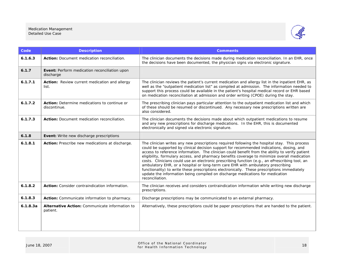#### Medication Management Detailed Use Case



| Code     | <b>Description</b>                                           | <b>Comments</b>                                                                                                                                                                                                                                                                                                                                                                                                                                                                                                                                                                                                                                                                                                                                                                      |
|----------|--------------------------------------------------------------|--------------------------------------------------------------------------------------------------------------------------------------------------------------------------------------------------------------------------------------------------------------------------------------------------------------------------------------------------------------------------------------------------------------------------------------------------------------------------------------------------------------------------------------------------------------------------------------------------------------------------------------------------------------------------------------------------------------------------------------------------------------------------------------|
| 6.1.6.3  | Action: Document medication reconciliation.                  | The clinician documents the decisions made during medication reconciliation. In an EHR, once<br>the decisions have been documented, the physician signs via electronic signature.                                                                                                                                                                                                                                                                                                                                                                                                                                                                                                                                                                                                    |
| 6.1.7    | Event: Perform medication reconciliation upon<br>discharge   |                                                                                                                                                                                                                                                                                                                                                                                                                                                                                                                                                                                                                                                                                                                                                                                      |
| 6.1.7.1  | Action: Review current medication and allergy<br>list.       | The clinician reviews the patient's current medication and allergy list in the inpatient EHR, as<br>well as the "outpatient medication list" as compiled at admission. The information needed to<br>support this process could be available in the patient's hospital medical record or EHR based<br>on medication reconciliation at admission and order writing (CPOE) during the stay.                                                                                                                                                                                                                                                                                                                                                                                             |
| 6.1.7.2  | Action: Determine medications to continue or<br>discontinue. | The prescribing clinician pays particular attention to the outpatient medication list and which<br>of these should be resumed or discontinued. Any necessary new prescriptions written are<br>also considered.                                                                                                                                                                                                                                                                                                                                                                                                                                                                                                                                                                       |
| 6.1.7.3  | Action: Document medication reconciliation.                  | The clinician documents the decisions made about which outpatient medications to resume<br>and any new prescriptions for discharge medications. In the EHR, this is documented<br>electronically and signed via electronic signature.                                                                                                                                                                                                                                                                                                                                                                                                                                                                                                                                                |
| 6.1.8    | <b>Event:</b> Write new discharge prescriptions              |                                                                                                                                                                                                                                                                                                                                                                                                                                                                                                                                                                                                                                                                                                                                                                                      |
| 6.1.8.1  | Action: Prescribe new medications at discharge.              | The clinician writes any new prescriptions required following the hospital stay. This process<br>could be supported by clinical decision support for recommended indications, dosing, and<br>access to reference information. The clinician could benefit from the ability to verify patient<br>eligibility, formulary access, and pharmacy benefits coverage to minimize overall medication<br>costs. Clinicians could use an electronic prescribing function (e.g., an ePrescribing tool, an<br>ambulatory EHR, or a hospital or long-term care EHR with ambulatory prescribing<br>functionality) to write these prescriptions electronically. These prescriptions immediately<br>update the information being compiled on discharge medications for medication<br>reconciliation. |
| 6.1.8.2  | Action: Consider contraindication information.               | The clinician receives and considers contraindication information while writing new discharge<br>prescriptions.                                                                                                                                                                                                                                                                                                                                                                                                                                                                                                                                                                                                                                                                      |
| 6.1.8.3  | Action: Communicate information to pharmacy.                 | Discharge prescriptions may be communicated to an external pharmacy.                                                                                                                                                                                                                                                                                                                                                                                                                                                                                                                                                                                                                                                                                                                 |
| 6.1.8.3a | Alternative Action: Communicate information to<br>patient.   | Alternatively, these prescriptions could be paper prescriptions that are handed to the patient.                                                                                                                                                                                                                                                                                                                                                                                                                                                                                                                                                                                                                                                                                      |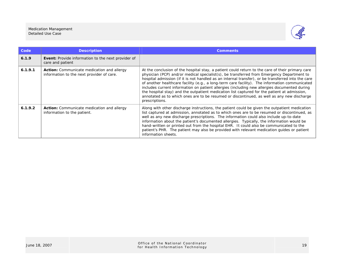

| Code    | <b>Description</b>                                                                             | <b>Comments</b>                                                                                                                                                                                                                                                                                                                                                                                                                                                                                                                                                                                                                                                                                                       |
|---------|------------------------------------------------------------------------------------------------|-----------------------------------------------------------------------------------------------------------------------------------------------------------------------------------------------------------------------------------------------------------------------------------------------------------------------------------------------------------------------------------------------------------------------------------------------------------------------------------------------------------------------------------------------------------------------------------------------------------------------------------------------------------------------------------------------------------------------|
| 6.1.9   | <b>Event:</b> Provide information to the next provider of<br>care and patient                  |                                                                                                                                                                                                                                                                                                                                                                                                                                                                                                                                                                                                                                                                                                                       |
| 6.1.9.1 | <b>Action:</b> Communicate medication and allergy<br>information to the next provider of care. | At the conclusion of the hospital stay, a patient could return to the care of their primary care<br>physician (PCP) and/or medical specialist(s), be transferred from Emergency Department to<br>hospital admission (if it is not handled as an internal transfer), or be transferred into the care<br>of another healthcare facility (e.g., a long-term care facility). The information communicated<br>includes current information on patient allergies (including new allergies documented during<br>the hospital stay) and the outpatient medication list captured for the patient at admission,<br>annotated as to which ones are to be resumed or discontinued, as well as any new discharge<br>prescriptions. |
| 6.1.9.2 | <b>Action:</b> Communicate medication and allergy<br>information to the patient.               | Along with other discharge instructions, the patient could be given the outpatient medication<br>list captured at admission, annotated as to which ones are to be resumed or discontinued, as<br>well as any new discharge prescriptions. The information could also include up-to-date<br>information about the patient's documented allergies. Typically, the information would be<br>hand-written or printed out from the hospital EHR. It could also be communicated to the<br>patient's PHR. The patient may also be provided with relevant medication guides or patient<br>information sheets.                                                                                                                  |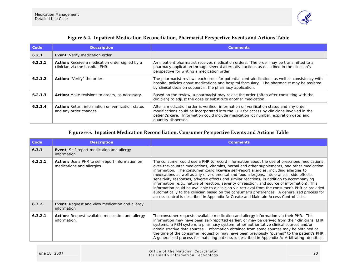

| Figure 6-4. Inpatient Medication Reconciliation, Pharmacist Perspective Events and Actions Table |  |  |
|--------------------------------------------------------------------------------------------------|--|--|
|                                                                                                  |  |  |

| Code    | <b>Description</b>                                                                       | <b>Comments</b>                                                                                                                                                                                                                                                                                     |
|---------|------------------------------------------------------------------------------------------|-----------------------------------------------------------------------------------------------------------------------------------------------------------------------------------------------------------------------------------------------------------------------------------------------------|
| 6.2.1   | <b>Event:</b> Verify medication order                                                    |                                                                                                                                                                                                                                                                                                     |
| 6.2.1.1 | <b>Action:</b> Receive a medication order signed by a<br>clinician via the hospital EHR. | An inpatient pharmacist receives medication orders. The order may be transmitted to a<br>pharmacy application through several alternative actions as described in the clinician's<br>perspective for writing a medication order.                                                                    |
| 6.2.1.2 | <b>Action:</b> "Verify" the order.                                                       | The pharmacist reviews each order for potential contraindications as well as consistency with<br>hospital policies about medications and hospital formulary. The pharmacist may be assisted<br>by clinical decision support in the pharmacy application.                                            |
| 6.2.1.3 | <b>Action:</b> Make revisions to orders, as necessary.                                   | Based on the review, a pharmacist may revise the order (often after consulting with the<br>clinician) to adjust the dose or substitute another medication.                                                                                                                                          |
| 6.2.1.4 | <b>Action:</b> Return information on verification status<br>and any order changes.       | After a medication order is verified, information on verification status and any order<br>modifications could be incorporated into the EHR for access by clinicians involved in the<br>patient's care. Information could include medication lot number, expiration date, and<br>quantity dispensed. |

# **Figure 6-5. Inpatient Medication Reconciliation, Consumer Perspective Events and Actions Table**

| Code    | <b>Description</b>                                                                   | <b>Comments</b>                                                                                                                                                                                                                                                                                                                                                                                                                                                                                                                                                                                                                                                                                                                                                                                                                                                           |  |  |
|---------|--------------------------------------------------------------------------------------|---------------------------------------------------------------------------------------------------------------------------------------------------------------------------------------------------------------------------------------------------------------------------------------------------------------------------------------------------------------------------------------------------------------------------------------------------------------------------------------------------------------------------------------------------------------------------------------------------------------------------------------------------------------------------------------------------------------------------------------------------------------------------------------------------------------------------------------------------------------------------|--|--|
| 6.3.1   | <b>Event:</b> Self-report medication and allergy<br>information                      |                                                                                                                                                                                                                                                                                                                                                                                                                                                                                                                                                                                                                                                                                                                                                                                                                                                                           |  |  |
| 6.3.1.1 | <b>Action:</b> Use a PHR to self-report information on<br>medications and allergies. | The consumer could use a PHR to record information about the use of prescribed medications,<br>over-the-counter medications, vitamins, herbal and other supplements, and other medication<br>information. The consumer could likewise self-report allergies, including allergies to<br>medications as well as any environmental and food allergens, intolerances, side effects,<br>sensitivity responses, adverse effects and similar reactions, in addition to accompanying<br>information (e.g., nature of reaction, severity of reaction, and source of information). This<br>information could be available to a clinician via retrieval from the consumer's PHR or provided<br>automatically to the clinician based on the consumer's preferences. A generalized process for<br>access control is described in Appendix A: Create and Maintain Access Control Lists. |  |  |
| 6.3.2   | Event: Request and view medication and allergy<br>information                        |                                                                                                                                                                                                                                                                                                                                                                                                                                                                                                                                                                                                                                                                                                                                                                                                                                                                           |  |  |
| 6.3.2.1 | <b>Action:</b> Request available medication and allergy<br>information.              | The consumer requests available medication and allergy information via their PHR. This<br>information may have been self-reported earlier, or may be derived from their clinicians' EHR<br>systems, a PBM system, a pharmacy system, other authoritative clinical sources and/or<br>administrative data sources. Information obtained from some sources may be obtained at<br>the time of the consumer request or may have been previously "pushed" to the patient's PHR.<br>A generalized process for matching patients is described in Appendix A: Arbitrating Identities.                                                                                                                                                                                                                                                                                              |  |  |

| June 18, 2007 | Office of the National Coordinator<br>20<br>for Health Information Technology |
|---------------|-------------------------------------------------------------------------------|
|---------------|-------------------------------------------------------------------------------|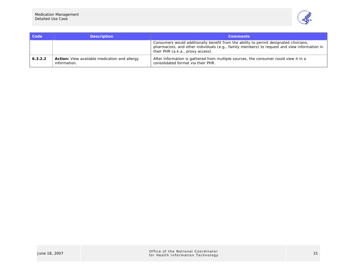

| <b>Code</b> | <b>Description</b>                                                   | <b>Comments</b>                                                                                                                                                                                                             |
|-------------|----------------------------------------------------------------------|-----------------------------------------------------------------------------------------------------------------------------------------------------------------------------------------------------------------------------|
|             |                                                                      | Consumers would additionally benefit from the ability to permit designated clinicians,<br>pharmacists, and other individuals (e.g., family members) to request and view information in<br>their PHR (a.k.a., proxy access). |
| 6.3.2.2     | <b>Action:</b> View available medication and allergy<br>information. | After information is gathered from multiple sources, the consumer could view it in a<br>consolidated format via their PHR.                                                                                                  |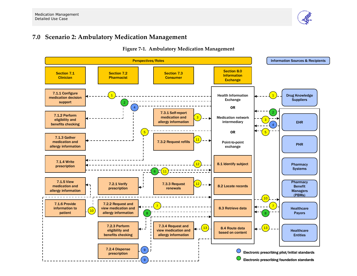

# **7.0 Scenario 2: Ambulatory Medication Management**



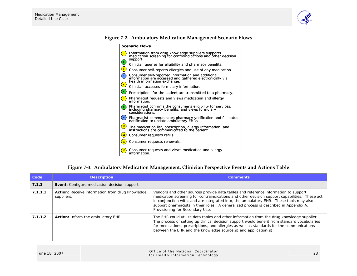

|  |  | <b>Figure 7-2. Ambulatory Medication Management Scenario Flows</b> |
|--|--|--------------------------------------------------------------------|
|  |  |                                                                    |

|                                                | <b>Scenario Flows</b>                                                                                                                         |
|------------------------------------------------|-----------------------------------------------------------------------------------------------------------------------------------------------|
| $\mathbf{1}$                                   | Information from drug knowledge suppliers supports<br>medication screening for contraindications and other decision<br>support.               |
| $\left( \begin{matrix} 2 \end{matrix} \right)$ | Clinician queries for eligibility and pharmacy benefits.                                                                                      |
| $\mathbf{3}$                                   | Consumer self-reports allergies and use of any medication.                                                                                    |
| $\overline{4}$                                 | Consumer self-reported information and additional<br>information are accessed and gathered electronically via<br>health information exchange. |
| $\left( \frac{5}{2} \right)$                   | Clinician accesses formulary information.                                                                                                     |
| Q                                              | Prescriptions for the patient are transmitted to a pharmacy.                                                                                  |
| $\boxed{7}$                                    | Pharmacist requests and views medication and allergy<br>information.                                                                          |
| ່ 8 )                                          | Pharmacist confirms the consumer's eligibility for services,<br>including pharmacy benefits, and views formulary<br>considerations.           |
| 9                                              | Pharmacist communicates pharmacy verification and fill status<br>notification to update ambulatory EHRs.                                      |
| $\left( 10 \right)$                            | The medication list, prescription, allergy information, and<br>instructions are communicated to the patient.                                  |
| 11                                             | Consumer requests refills.                                                                                                                    |
| 12                                             | Consumer requests renewals.                                                                                                                   |
| 13)                                            | Consumer requests and views medication and allergy<br>information.                                                                            |

# **Figure 7-3. Ambulatory Medication Management, Clinician Perspective Events and Actions Table**

| Code    | <b>Description</b>                                            | <b>Comments</b>                                                                                                                                                                                                                                                                                                                                                                                           |  |  |
|---------|---------------------------------------------------------------|-----------------------------------------------------------------------------------------------------------------------------------------------------------------------------------------------------------------------------------------------------------------------------------------------------------------------------------------------------------------------------------------------------------|--|--|
| 7.1.1   | <b>Event:</b> Configure medication decision support           |                                                                                                                                                                                                                                                                                                                                                                                                           |  |  |
| 7.1.1.1 | Action: Receive information from drug knowledge<br>suppliers. | Vendors and other sources provide data tables and reference information to support<br>medication screening for contraindications and other decision support capabilities. These act<br>in conjunction with, and are integrated into, the ambulatory EHR. These tools may also<br>support pharmacists in their roles. A generalized process is described in Appendix A:<br>Provisioning for Secondary Use. |  |  |
| 7.1.1.2 | <b>Action:</b> Inform the ambulatory EHR.                     | The EHR could utilize data tables and other information from the drug knowledge supplier.<br>The process of setting up clinical decision support would benefit from standard vocabularies<br>for medications, prescriptions, and allergies as well as standards for the communications<br>between the EHR and the knowledge source(s) and application(s).                                                 |  |  |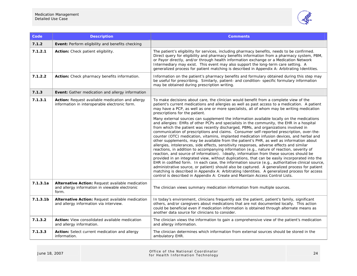

| Code                 | <b>Description</b>                                                                                          | <b>Comments</b>                                                                                                                                                                                                                                                                                                                                                                                                                                                                                                                                                                                                                                                                                                                                                                                                                                                                                                                                                                                                                                                                                                                                                                                                                                                                                                                                   |  |
|----------------------|-------------------------------------------------------------------------------------------------------------|---------------------------------------------------------------------------------------------------------------------------------------------------------------------------------------------------------------------------------------------------------------------------------------------------------------------------------------------------------------------------------------------------------------------------------------------------------------------------------------------------------------------------------------------------------------------------------------------------------------------------------------------------------------------------------------------------------------------------------------------------------------------------------------------------------------------------------------------------------------------------------------------------------------------------------------------------------------------------------------------------------------------------------------------------------------------------------------------------------------------------------------------------------------------------------------------------------------------------------------------------------------------------------------------------------------------------------------------------|--|
| 7.1.2                | <b>Event:</b> Perform eligibility and benefits checking                                                     |                                                                                                                                                                                                                                                                                                                                                                                                                                                                                                                                                                                                                                                                                                                                                                                                                                                                                                                                                                                                                                                                                                                                                                                                                                                                                                                                                   |  |
| 7.1.2.1              | Action: Check patient eligibility.                                                                          | The patient's eligibility for services, including pharmacy benefits, needs to be confirmed.<br>Direct query for eligibility and pharmacy benefits information from a pharmacy system, PBM,<br>or Payor directly, and/or through health information exchange or a Medication Network<br>Intermediary may exist. This event may also support the long-term care setting. A<br>generalized process for patient matching is described in Appendix A: Arbitrating Identities.                                                                                                                                                                                                                                                                                                                                                                                                                                                                                                                                                                                                                                                                                                                                                                                                                                                                          |  |
| 7.1.2.2              | Action: Check pharmacy benefits information.                                                                | Information on the patient's pharmacy benefits and formulary obtained during this step may<br>be useful for prescribing. Similarly, patient- and condition- specific formulary information<br>may be obtained during prescription writing.                                                                                                                                                                                                                                                                                                                                                                                                                                                                                                                                                                                                                                                                                                                                                                                                                                                                                                                                                                                                                                                                                                        |  |
| 7.1.3                | Event: Gather medication and allergy information                                                            |                                                                                                                                                                                                                                                                                                                                                                                                                                                                                                                                                                                                                                                                                                                                                                                                                                                                                                                                                                                                                                                                                                                                                                                                                                                                                                                                                   |  |
| 7.1.3.1              | Action: Request available medication and allergy<br>information in interoperable electronic form.           | To make decisions about care, the clinician would benefit from a complete view of the<br>patient's current medications and allergies as well as past access to a medication. A patient<br>may have a PCP, as well as one or more specialists, all of whom may be writing medication<br>prescriptions for the patient.                                                                                                                                                                                                                                                                                                                                                                                                                                                                                                                                                                                                                                                                                                                                                                                                                                                                                                                                                                                                                             |  |
|                      |                                                                                                             | Many external sources can supplement the information available locally on the medications<br>and allergies: EHRs of other PCPs and specialists in the community, the EHR in a hospital<br>from which the patient was recently discharged, PBMs, and organizations involved in<br>communication of prescriptions and claims. Consumer self-reported prescription, over-the-<br>counter (OTC) medication, vitamins, implanted medication infusion devices, and herbal and<br>other supplements, may be available from the patient's PHR, as well as information about<br>allergies, intolerances, side effects, sensitivity responses, adverse effects and similar<br>reactions, in addition to accompanying information (e.g., nature of reaction, severity of<br>reaction, and source of information). Ideally, information from these sources should be<br>provided in an integrated view, without duplications, that can be easily incorporated into the<br>EHR in codified form. In each case, the information source (e.g., authoritative clinical source,<br>administrative source, or patient) should also be captured. A generalized process for patient<br>matching is described in Appendix A: Arbitrating Identities. A generalized process for access<br>control is described in Appendix A: Create and Maintain Access Control Lists. |  |
| 7.1.3.1a             | Alternative Action: Request available medication<br>and allergy information in viewable electronic<br>form. | The clinician views summary medication information from multiple sources.                                                                                                                                                                                                                                                                                                                                                                                                                                                                                                                                                                                                                                                                                                                                                                                                                                                                                                                                                                                                                                                                                                                                                                                                                                                                         |  |
| 7.1.3.1 <sub>b</sub> | Alternative Action: Request available medication<br>and allergy information via interview.                  | In today's environment, clinicians frequently ask the patient, patient's family, significant<br>others, and/or caregivers about medications that are not documented locally. This action<br>could be beneficial even if medication information is obtained through alternate means as<br>another data source for clinicians to consider.                                                                                                                                                                                                                                                                                                                                                                                                                                                                                                                                                                                                                                                                                                                                                                                                                                                                                                                                                                                                          |  |
| 7.1.3.2              | Action: View consolidated available medication<br>and allergy information.                                  | The clinician views the information to gain a comprehensive view of the patient's medication<br>and allergy information.                                                                                                                                                                                                                                                                                                                                                                                                                                                                                                                                                                                                                                                                                                                                                                                                                                                                                                                                                                                                                                                                                                                                                                                                                          |  |
| 7.1.3.3              | Action: Select current medication and allergy<br>information.                                               | The clinician determines which information from external sources should be stored in the<br>ambulatory EHR.                                                                                                                                                                                                                                                                                                                                                                                                                                                                                                                                                                                                                                                                                                                                                                                                                                                                                                                                                                                                                                                                                                                                                                                                                                       |  |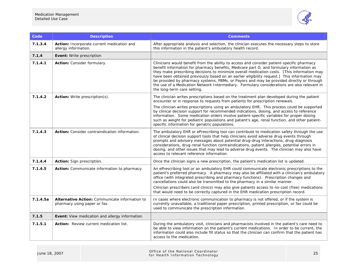

| Code     | <b>Description</b>                                                             | <b>Comments</b>                                                                                                                                                                                                                                                                                                                                                                                                                                                                                                                                                                                                 |
|----------|--------------------------------------------------------------------------------|-----------------------------------------------------------------------------------------------------------------------------------------------------------------------------------------------------------------------------------------------------------------------------------------------------------------------------------------------------------------------------------------------------------------------------------------------------------------------------------------------------------------------------------------------------------------------------------------------------------------|
| 7.1.3.4  | Action: Incorporate current medication and<br>allergy information.             | After appropriate analysis and selection, the clinician executes the necessary steps to store<br>this information in the patient's ambulatory health record.                                                                                                                                                                                                                                                                                                                                                                                                                                                    |
| 7.1.4    | <b>Event:</b> Write prescription                                               |                                                                                                                                                                                                                                                                                                                                                                                                                                                                                                                                                                                                                 |
| 7.1.4.1  | Action: Consider formulary.                                                    | Clinicians would benefit from the ability to access and consider patient-specific pharmacy<br>benefit information for pharmacy benefits, Medicare part D, and formulary information as<br>they make prescribing decisions to minimize overall medication costs. [This information may<br>have been obtained previously based on an earlier eligibility request.] This information may<br>be provided by pharmacy systems, PBMs, or Payors and may be provided directly or through<br>the use of a Medication Network Intermediary. Formulary considerations are also relevant in<br>the long-term care setting. |
| 7.1.4.2  | <b>Action:</b> Write prescription(s).                                          | The clinician writes prescriptions based on the treatment plan developed during the patient<br>encounter or in response to requests from patients for prescription renewals.                                                                                                                                                                                                                                                                                                                                                                                                                                    |
|          |                                                                                | The clinician writes prescriptions using an ambulatory EHR. This process could be supported<br>by clinical decision support for recommended indications, dosing, and access to reference<br>information. Some medication orders involve patient-specific variables for proper dosing<br>such as weight for pediatric populations and patient's age, renal function, and other patient-<br>specific information for geriatric populations.                                                                                                                                                                       |
| 7.1.4.3  | Action: Consider contraindication information.                                 | The ambulatory EHR or ePrescribing tool can contribute to medication safety through the use<br>of clinical decision support tools that help clinicians avoid adverse drug events through<br>prompts and advisory messages about potential drug-drug interactions, drug-diagnosis<br>considerations, drug-renal function contraindications, patient allergies, potential errors in<br>dosing, and other issues that may lead to adverse drug events. The clinician may also have<br>access to relevant reference information.                                                                                    |
| 7.1.4.4  | Action: Sign prescription.                                                     | Once the clinician signs a new prescription, the patient's medication list is updated.                                                                                                                                                                                                                                                                                                                                                                                                                                                                                                                          |
| 7.1.4.5  | Action: Communicate information to pharmacy.                                   | An ePrescribing tool or an ambulatory EHR could communicate electronic prescriptions to the<br>patient's preferred pharmacy. A pharmacy may also be affiliated with a clinician's ambulatory<br>office (with integrated prescribing and pharmacy functions). Prescription changes and<br>cancellations could also be transmitted to the pharmacy in a similar manner.<br>Clinician prescribers (and clinics) may also give patients access to no-cost (free) medications<br>that would need to be correctly captured in the EHR medication prescription record.                                                 |
| 7.1.4.5a | Alternative Action: Communicate information to<br>pharmacy using paper or fax. | In cases where electronic communication to pharmacy is not offered, or if the system is<br>currently unavailable, a traditional paper prescription, printed prescription, or fax could be<br>used to communicate the prescription information.                                                                                                                                                                                                                                                                                                                                                                  |
| 7.1.5    | Event: View medication and allergy information                                 |                                                                                                                                                                                                                                                                                                                                                                                                                                                                                                                                                                                                                 |
| 7.1.5.1  | Action: Review current medication list.                                        | During the ambulatory visit, clinicians and pharmacists involved in the patient's care need to<br>be able to view information on the patient's current medications. In order to be current, the<br>information could also include fill status so that the clinician can confirm that the patient has<br>access to the medication.                                                                                                                                                                                                                                                                               |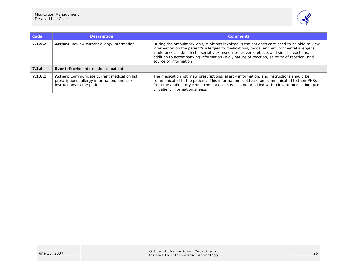

| Code    | <b>Description</b>                                                                                                           | <b>Comments</b>                                                                                                                                                                                                                                                                                                                                                                                                      |
|---------|------------------------------------------------------------------------------------------------------------------------------|----------------------------------------------------------------------------------------------------------------------------------------------------------------------------------------------------------------------------------------------------------------------------------------------------------------------------------------------------------------------------------------------------------------------|
| 7.1.5.2 | <b>Action:</b> Review current allergy information.                                                                           | During the ambulatory visit, clinicians involved in the patient's care need to be able to view<br>information on the patient's allergies to medications, foods, and environmental allergens,<br>intolerances, side effects, sensitivity responses, adverse effects and similar reactions, in<br>addition to accompanying information (e.g., nature of reaction, severity of reaction, and<br>source of information). |
| 7.1.6   | <b>Event:</b> Provide information to patient                                                                                 |                                                                                                                                                                                                                                                                                                                                                                                                                      |
| 7.1.6.1 | Action: Communicate current medication list,<br>prescriptions, allergy information, and care<br>instructions to the patient. | The medication list, new prescriptions, allergy information, and instructions should be<br>communicated to the patient. This information could also be communicated to their PHRs<br>from the ambulatory EHR. The patient may also be provided with relevant medication quides<br>or patient information sheets.                                                                                                     |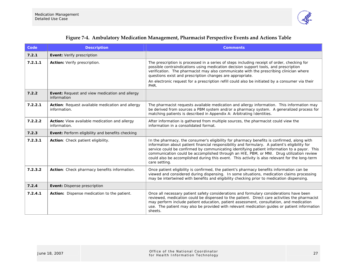

|  |  | Figure 7-4. Ambulatory Medication Management, Pharmacist Perspective Events and Actions Table |  |
|--|--|-----------------------------------------------------------------------------------------------|--|
|  |  |                                                                                               |  |

| Code    | <b>Description</b>                                                   | <b>Comments</b>                                                                                                                                                                                                                                                                                                                                                                                                                                                                                            |  |
|---------|----------------------------------------------------------------------|------------------------------------------------------------------------------------------------------------------------------------------------------------------------------------------------------------------------------------------------------------------------------------------------------------------------------------------------------------------------------------------------------------------------------------------------------------------------------------------------------------|--|
| 7.2.1   | Event: Verify prescription                                           |                                                                                                                                                                                                                                                                                                                                                                                                                                                                                                            |  |
| 7.2.1.1 | Action: Verify prescription.                                         | The prescription is processed in a series of steps including receipt of order, checking for<br>possible contraindications using medication decision support tools, and prescription<br>verification. The pharmacist may also communicate with the prescribing clinician where<br>questions exist and prescription changes are appropriate.                                                                                                                                                                 |  |
|         |                                                                      | An electronic request for a prescription refill could also be initiated by a consumer via their<br>PHR.                                                                                                                                                                                                                                                                                                                                                                                                    |  |
| 7.2.2   | <b>Event:</b> Request and view medication and allergy<br>information |                                                                                                                                                                                                                                                                                                                                                                                                                                                                                                            |  |
| 7.2.2.1 | Action: Request available medication and allergy<br>information.     | The pharmacist requests available medication and allergy information. This information may<br>be derived from sources a PBM system and/or a pharmacy system. A generalized process for<br>matching patients is described in Appendix A: Arbitrating Identities.                                                                                                                                                                                                                                            |  |
| 7.2.2.2 | Action: View available medication and allergy<br>information.        | After information is gathered from multiple sources, the pharmacist could view the<br>information in a consolidated format.                                                                                                                                                                                                                                                                                                                                                                                |  |
| 7.2.3   | <b>Event:</b> Perform eligibility and benefits checking              |                                                                                                                                                                                                                                                                                                                                                                                                                                                                                                            |  |
| 7.2.3.1 | Action: Check patient eligibility.                                   | In the pharmacy, the consumer's eligibility for pharmacy benefits is confirmed, along with<br>information about patient financial responsibility and formulary. A patient's eligibility for<br>service could be confirmed by communicating identifying patient information to a payor. This<br>communication could be accomplished through an HIE, PBM, or MNI. Drug utilization review<br>could also be accomplished during this event. This activity is also relevant for the long-term<br>care setting. |  |
| 7.2.3.2 | Action: Check pharmacy benefits information.                         | Once patient eligibility is confirmed, the patient's pharmacy benefits information can be<br>viewed and considered during dispensing. In some situations, medication claims processing<br>may be intertwined with benefits and eligibility checking prior to medication dispensing.                                                                                                                                                                                                                        |  |
| 7.2.4   | Event: Dispense prescription                                         |                                                                                                                                                                                                                                                                                                                                                                                                                                                                                                            |  |
| 7.2.4.1 | Action: Dispense medication to the patient.                          | Once all necessary patient safety considerations and formulary considerations have been<br>reviewed, medication could be dispensed to the patient. Direct care activities the pharmacist<br>may perform include patient education, patient assessment, consultation, and medication<br>use. The patient may also be provided with relevant medication guides or patient information<br>sheets.                                                                                                             |  |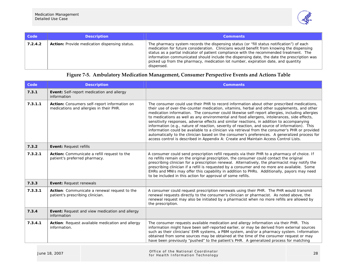

| Code    | <b>Description</b>                                   | <b>Comments</b>                                                                                                                                                                                                                                                                                                                                                                                                                                                                    |
|---------|------------------------------------------------------|------------------------------------------------------------------------------------------------------------------------------------------------------------------------------------------------------------------------------------------------------------------------------------------------------------------------------------------------------------------------------------------------------------------------------------------------------------------------------------|
| 7.2.4.2 | <b>Action:</b> Provide medication dispensing status. | The pharmacy system records the dispensing status (or "fill status notification") of each<br>medication for future consideration. Clinicians would benefit from knowing the dispensing<br>status as a partial indicator of patient compliance with the recommended treatment. The<br>information communicated should include the dispensing date, the date the prescription was<br>picked up from the pharmacy, medication lot number, expiration date, and quantity<br>dispensed. |

# **Figure 7-5. Ambulatory Medication Management, Consumer Perspective Events and Actions Table**

| Code    | <b>Description</b>                                                                      | <b>Comments</b>                                                                                                                                                                                                                                                                                                                                                                                                                                                                                                                                                                                                                                                                                                                                                                                                                                                                      |  |
|---------|-----------------------------------------------------------------------------------------|--------------------------------------------------------------------------------------------------------------------------------------------------------------------------------------------------------------------------------------------------------------------------------------------------------------------------------------------------------------------------------------------------------------------------------------------------------------------------------------------------------------------------------------------------------------------------------------------------------------------------------------------------------------------------------------------------------------------------------------------------------------------------------------------------------------------------------------------------------------------------------------|--|
| 7.3.1   | <b>Event:</b> Self-report medication and allergy<br>information                         |                                                                                                                                                                                                                                                                                                                                                                                                                                                                                                                                                                                                                                                                                                                                                                                                                                                                                      |  |
| 7.3.1.1 | Action: Consumers self-report information on<br>medications and allergies in their PHR. | The consumer could use their PHR to record information about other prescribed medications,<br>their use of over-the-counter medication, vitamins, herbal and other supplements, and other<br>medication information. The consumer could likewise self-report allergies, including allergies<br>to medications as well as any environmental and food allergens, intolerances, side effects,<br>sensitivity responses, adverse effects and similar reactions, in addition to accompanying<br>information (e.g., nature of reaction, severity of reaction, and source of information). This<br>information could be available to a clinician via retrieval from the consumer's PHR or provided<br>automatically to the clinician based on the consumer's preferences. A generalized process for<br>access control is described in Appendix A: Create and Maintain Access Control Lists. |  |
| 7.3.2   | Event: Request refills                                                                  |                                                                                                                                                                                                                                                                                                                                                                                                                                                                                                                                                                                                                                                                                                                                                                                                                                                                                      |  |
| 7.3.2.1 | Action: Communicate a refill request to the<br>patient's preferred pharmacy.            | A consumer could send prescription refill requests via their PHR to a pharmacy of choice. If<br>no refills remain on the original prescription, the consumer could contact the original<br>prescribing clinician for a prescription renewal. Alternatively, the pharmacist may notify the<br>prescribing clinician if a refill is requested by a consumer and no more are available. Some<br>EHRs and MNIs may offer this capability in addition to PHRs. Additionally, payors may need<br>to be included in this action for approval of some refills.                                                                                                                                                                                                                                                                                                                               |  |
| 7.3.3   | <b>Event: Request renewals</b>                                                          |                                                                                                                                                                                                                                                                                                                                                                                                                                                                                                                                                                                                                                                                                                                                                                                                                                                                                      |  |
| 7.3.3.1 | Action: Communicate a renewal request to the<br>patient's prescribing clinician.        | A consumer could request prescription renewals using their PHR. The PHR would transmit<br>renewal requests directly to the consumer's clinician or pharmacist. As noted above, the<br>renewal request may also be initiated by a pharmacist when no more refills are allowed by<br>the prescription.                                                                                                                                                                                                                                                                                                                                                                                                                                                                                                                                                                                 |  |
| 7.3.4   | Event: Request and view medication and allergy<br>information                           |                                                                                                                                                                                                                                                                                                                                                                                                                                                                                                                                                                                                                                                                                                                                                                                                                                                                                      |  |
| 7.3.4.1 | Action: Request available medication and allergy<br>information.                        | The consumer requests available medication and allergy information via their PHR. This<br>information might have been self-reported earlier, or may be derived from external sources<br>such as their clinicians' EHR systems, a PBM system, and/or a pharmacy system. Information<br>obtained from some sources may be obtained at the time of the consumer request or may<br>have been previously "pushed" to the patient's PHR. A generalized process for matching                                                                                                                                                                                                                                                                                                                                                                                                                |  |

| June 18, 2007 |  | Office of the National Coordinator<br>for Health Information Technology | 28 |
|---------------|--|-------------------------------------------------------------------------|----|
|---------------|--|-------------------------------------------------------------------------|----|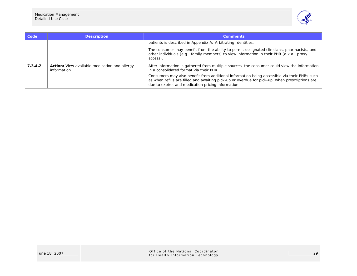

| Code    | <b>Description</b>                                                   | <b>Comments</b>                                                                                                                                                                                                                                     |
|---------|----------------------------------------------------------------------|-----------------------------------------------------------------------------------------------------------------------------------------------------------------------------------------------------------------------------------------------------|
|         |                                                                      | patients is described in Appendix A: Arbitrating Identities.                                                                                                                                                                                        |
|         |                                                                      | The consumer may benefit from the ability to permit designated clinicians, pharmacists, and<br>other individuals (e.g., family members) to view information in their PHR (a.k.a., proxy<br>access).                                                 |
| 7.3.4.2 | <b>Action:</b> View available medication and allergy<br>information. | After information is gathered from multiple sources, the consumer could view the information<br>in a consolidated format via their PHR.                                                                                                             |
|         |                                                                      | Consumers may also benefit from additional information being accessible via their PHRs such<br>as when refills are filled and awaiting pick-up or overdue for pick-up, when prescriptions are<br>due to expire, and medication pricing information. |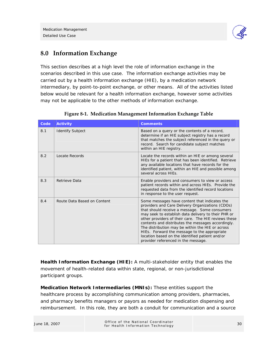

# **8.0 Information Exchange**

This section describes at a high level the role of information exchange in the scenarios described in this use case. The information exchange activities may be carried out by a health information exchange (HIE), by a medication network intermediary, by point-to-point exchange, or other means. All of the activities listed below would be relevant for a health information exchange, however some activities may not be applicable to the other methods of information exchange.

| Code | <b>Activity</b>             | <b>Comments</b>                                                                                                                                                                                                                                                                                                                                                                                                                                                                                                       |
|------|-----------------------------|-----------------------------------------------------------------------------------------------------------------------------------------------------------------------------------------------------------------------------------------------------------------------------------------------------------------------------------------------------------------------------------------------------------------------------------------------------------------------------------------------------------------------|
| 8.1  | <b>Identify Subject</b>     | Based on a query or the contents of a record,<br>determine if an HIE subject registry has a record<br>that matches the subject referenced in the query or<br>record. Search for candidate subject matches<br>within an HIE registry.                                                                                                                                                                                                                                                                                  |
| 8.2  | Locate Records              | Locate the records within an HIE or among several<br>HIEs for a patient that has been identified. Retrieve<br>any available locations that have records for the<br>identified patient, within an HIE and possible among<br>several across HIEs.                                                                                                                                                                                                                                                                       |
| 8.3  | Retrieve Data               | Enable providers and consumers to view or access<br>patient records within and across HIEs. Provide the<br>requested data from the identified record locations<br>in response to the user request.                                                                                                                                                                                                                                                                                                                    |
| 8.4  | Route Data Based on Content | Some messages have content that indicates the<br>providers and Care Delivery Organizations (CDOs)<br>that should receive a message. Some consumers<br>may seek to establish data delivery to their PHR or<br>other providers of their care. The HIE reviews these<br>contents and distributes the messages accordingly.<br>The distribution may be within the HIE or across<br>HIEs. Forward the message to the appropriate<br>location based on the identified patient and/or<br>provider referenced in the message. |

|  | Figure 8-1. Medication Management Information Exchange Table |  |  |
|--|--------------------------------------------------------------|--|--|
|  |                                                              |  |  |
|  |                                                              |  |  |
|  |                                                              |  |  |

**Health Information Exchange (HIE):** A multi-stakeholder entity that enables the movement of health-related data within state, regional, or non-jurisdictional participant groups.

**Medication Network Intermediaries (MNIs):** These entities support the healthcare process by accomplishing communication among providers, pharmacies, and pharmacy benefits managers or payors as needed for medication dispensing and reimbursement. In this role, they are both a conduit for communication and a source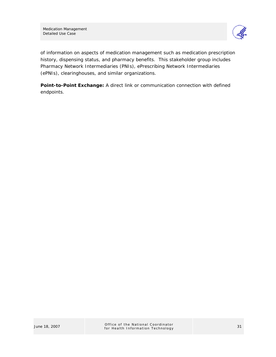

of information on aspects of medication management such as medication prescription history, dispensing status, and pharmacy benefits. This stakeholder group includes Pharmacy Network Intermediaries (PNIs), ePrescribing Network Intermediaries (ePNIs), clearinghouses, and similar organizations.

**Point-to-Point Exchange:** A direct link or communication connection with defined endpoints.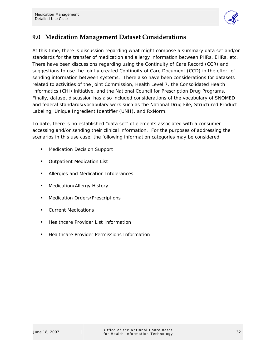

# **9.0 Medication Management Dataset Considerations**

At this time, there is discussion regarding what might compose a summary data set and/or standards for the transfer of medication and allergy information between PHRs, EHRs, etc. There have been discussions regarding using the Continuity of Care Record (CCR) and suggestions to use the jointly created Continuity of Care Document (CCD) in the effort of sending information between systems. There also have been considerations for datasets related to activities of the Joint Commission, Health Level 7, the Consolidated Health Informatics (CHI) initiative, and the National Council for Prescription Drug Programs. Finally, dataset discussion has also included considerations of the vocabulary of SNOMED and federal standards/vocabulary work such as the National Drug File, Structured Product Labeling, Unique Ingredient Identifier (UNII), and RxNorm.

To date, there is no established "data set" of elements associated with a consumer accessing and/or sending their clinical information. For the purposes of addressing the scenarios in this use case, the following information categories may be considered:

- Medication Decision Support
- Outpatient Medication List
- Allergies and Medication Intolerances
- Medication/Allergy History
- Medication Orders/Prescriptions
- **Current Medications**
- **Healthcare Provider List Information**
- **Healthcare Provider Permissions Information**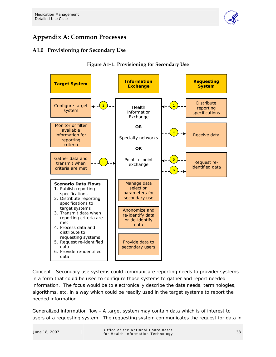

# **Appendix A: Common Processes**

# **A1.0 Provisioning for Secondary Use**





*Concept* - Secondary use systems could communicate reporting needs to provider systems in a form that could be used to configure those systems to gather and report needed information. The focus would be to electronically describe the data needs, terminologies, algorithms, etc. in a way which could be readily used in the target systems to report the needed information.

*Generalized information flow* - A target system may contain data which is of interest to users of a requesting system. The requesting system communicates the request for data in

June 18, 2007 Office of the National Coordinator of the National Coordinator<br>for Health Information Technology 33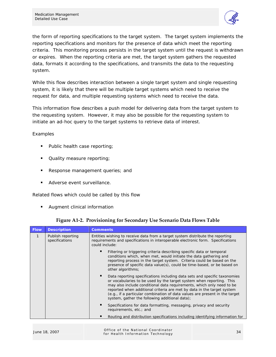

the form of reporting specifications to the target system. The target system implements the reporting specifications and monitors for the presence of data which meet the reporting criteria. This monitoring process persists in the target system until the request is withdrawn or expires. When the reporting criteria are met, the target system gathers the requested data, formats it according to the specifications, and transmits the data to the requesting system.

While this flow describes interaction between a single target system and single requesting system, it is likely that there will be multiple target systems which need to receive the request for data, and multiple requesting systems which need to receive the data.

This information flow describes a push model for delivering data from the target system to the requesting system. However, it may also be possible for the requesting system to initiate an ad-hoc query to the target systems to retrieve data of interest.

### *Examples*

- Public health case reporting;
- Quality measure reporting;
- Response management queries; and
- **Adverse event surveillance.**

### *Related flows which could be called by this flow*

**Augment clinical information** 

| <b>Flow</b> | <b>Description</b>                  | <b>Comments</b>                                                                                                                                                                                                                                                                                                                                                                                                                       |
|-------------|-------------------------------------|---------------------------------------------------------------------------------------------------------------------------------------------------------------------------------------------------------------------------------------------------------------------------------------------------------------------------------------------------------------------------------------------------------------------------------------|
| 1           | Publish reporting<br>specifications | Entities wishing to receive data from a target system distribute the reporting<br>requirements and specifications in interoperable electronic form. Specifications<br>could include:                                                                                                                                                                                                                                                  |
|             |                                     | Filtering or triggering criteria describing specific data or temporal<br>conditions which, when met, would initiate the data gathering and<br>reporting process in the target system. Criteria could be based on the<br>presence of specific data value(s), could be time-based, or be based on<br>other algorithms;                                                                                                                  |
|             |                                     | Data reporting specifications including data sets and specific taxonomies<br>or vocabularies to be used by the target system when reporting. This<br>may also include conditional data requirements, which only need to be<br>reported when additional criteria are met by data in the target system<br>(e.g., if a particular combination of data values are present in the target<br>system, gather the following additional data); |
|             |                                     | Specifications for data formatting, messaging, privacy and security<br>requirements, etc.; and                                                                                                                                                                                                                                                                                                                                        |
|             |                                     | Routing and distribution specifications including identifying information for                                                                                                                                                                                                                                                                                                                                                         |

**Figure A1-2. Provisioning for Secondary Use Scenario Data Flows Table** 

|               | Office of the National Coordinator |  |
|---------------|------------------------------------|--|
| June 18, 2007 | for Health Information Technology  |  |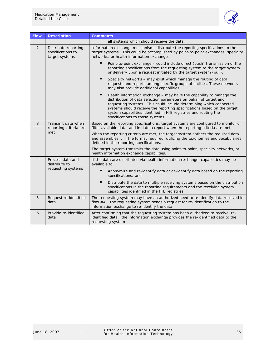

| <b>Flow</b>    | <b>Description</b>                                          | <b>Comments</b>                                                                                                                                                                                                                                                                                                                                                                                                     |  |
|----------------|-------------------------------------------------------------|---------------------------------------------------------------------------------------------------------------------------------------------------------------------------------------------------------------------------------------------------------------------------------------------------------------------------------------------------------------------------------------------------------------------|--|
|                |                                                             | all systems which should receive the data.                                                                                                                                                                                                                                                                                                                                                                          |  |
| 2              | Distribute reporting<br>specifications to<br>target systems | Information exchange mechanisms distribute the reporting specifications to the<br>target systems. This could be accomplished by point-to-point exchanges, specialty<br>networks, or health information exchanges.                                                                                                                                                                                                   |  |
|                |                                                             | Point-to-point exchange – could include direct (push) transmission of the<br>reporting specifications from the requesting system to the target system<br>or delivery upon a request initiated by the target system (pull).                                                                                                                                                                                          |  |
|                |                                                             | Specialty networks - may exist which manage the routing of data<br>requests and reports among specific groups of entities. These networks<br>may also provide additional capabilities.                                                                                                                                                                                                                              |  |
|                |                                                             | $\blacksquare$<br>Health information exchange – may have the capability to manage the<br>distribution of data selection parameters on behalf of target and<br>requesting systems. This could include determining which connected<br>systems should receive the reporting specifications based on the target<br>system capabilities identified in HIE registries and routing the<br>specifications to those systems. |  |
| 3              | Transmit data when<br>reporting criteria are<br>met         | Based on the reporting specifications, target systems are configured to monitor or<br>filter available data, and initiate a report when the reporting criteria are met.                                                                                                                                                                                                                                             |  |
|                |                                                             | When the reporting criteria are met, the target system gathers the required data<br>and assembles it in the format required, utilizing the taxonomies and vocabularies<br>defined in the reporting specifications.                                                                                                                                                                                                  |  |
|                |                                                             | The target system transmits the data using point-to-point, specialty networks, or<br>health information exchange capabilities.                                                                                                                                                                                                                                                                                      |  |
| $\overline{4}$ | Process data and<br>distribute to<br>requesting systems     | If the data are distributed via health information exchange, capabilities may be<br>available to:                                                                                                                                                                                                                                                                                                                   |  |
|                |                                                             | п<br>Anonymize and re-identify data or de-identify data based on the reporting<br>specifications; and                                                                                                                                                                                                                                                                                                               |  |
|                |                                                             | п<br>Distribute the data to multiple receiving systems based on the distribution<br>specifications in the reporting requirements and the receiving system<br>capabilities identified in the HIE registries.                                                                                                                                                                                                         |  |
| 5              | Request re-identified<br>data                               | The requesting system may have an authorized need to re-identify data received in<br>flow #4. The requesting system sends a request for re-identification to the<br>information exchange to re-identify the data.                                                                                                                                                                                                   |  |
| 6              | Provide re-identified<br>data                               | After confirming that the requesting system has been authorized to receive re-<br>identified data, the information exchange provides the re-identified data to the<br>requesting system                                                                                                                                                                                                                             |  |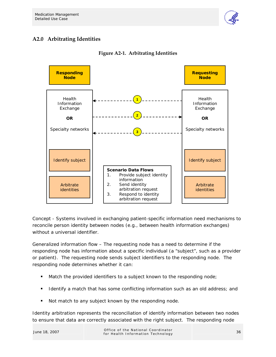

# **A2.0 Arbitrating Identities**



**Figure A2-1. Arbitrating Identities** 

*Concept* - Systems involved in exchanging patient-specific information need mechanisms to reconcile person identity between nodes (e.g., between health information exchanges) without a universal identifier.

*Generalized information flow* – The requesting node has a need to determine if the responding node has information about a specific individual (a "subject", such as a provider or patient). The requesting node sends subject identifiers to the responding node. The responding node determines whether it can:

- **Match the provided identifiers to a subject known to the responding node;**
- I dentify a match that has some conflicting information such as an old address; and
- Not match to any subject known by the responding node.

Identity arbitration represents the reconciliation of identify information between two nodes to ensure that data are correctly associated with the right subject. The responding node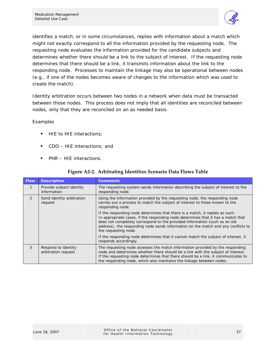

identifies a match, or in some circumstances, replies with information about a match which might not exactly correspond to all the information provided by the requesting node. The requesting node evaluates the information provided for the candidate subjects and determines whether there should be a link to the subject of interest. If the requesting node determines that there should be a link, it transmits information about the link to the responding node. Processes to maintain the linkage may also be operational between nodes (e.g., if one of the nodes becomes aware of changes to the information which was used to create the match).

Identity arbitration occurs between two nodes in a network when data must be transacted between those nodes. This process does not imply that all identities are reconciled between nodes, only that they are reconciled on an as needed basis.

### *Examples*

- HIE to HIE interactions;
- CDO HIE interactions; and
- PHR HIE interactions.

| <b>Flow</b>  | <b>Description</b>                         | <b>Comments</b>                                                                                                                                                                                                                                                                                                                                             |
|--------------|--------------------------------------------|-------------------------------------------------------------------------------------------------------------------------------------------------------------------------------------------------------------------------------------------------------------------------------------------------------------------------------------------------------------|
| $\mathbf{1}$ | Provide subject identity<br>information    | The requesting system sends information describing the subject of interest to the<br>responding node.                                                                                                                                                                                                                                                       |
| 2            | Send identity arbitration<br>request       | Using the information provided by the requesting node, the responding node<br>carries out a process to match the subject of interest to those known to the<br>responding node.                                                                                                                                                                              |
|              |                                            | If the responding node determines that there is a match, it replies as such.<br>In appropriate cases, if the responding node determines that it has a match that<br>does not completely correspond to the provided information (such as an old<br>address), the responding node sends information on the match and any conflicts to<br>the requesting node. |
|              |                                            | If the responding node determines that it cannot match the subject of interest, it<br>responds accordingly.                                                                                                                                                                                                                                                 |
| 3            | Respond to identity<br>arbitration request | The requesting node assesses the match information provided by the responding<br>node and determines whether there should be a link with the subject of interest.<br>If the requesting node determines that there should be a link, it communicates to<br>the responding node, which also maintains the linkage between nodes.                              |

### **Figure A2-2. Arbitrating Identities Scenario Data Flows Table**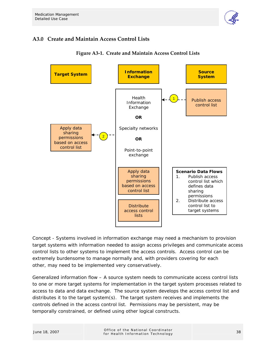

# **A3.0 Create and Maintain Access Control Lists**



**Figure A3-1. Create and Maintain Access Control Lists** 

*Concept* - Systems involved in information exchange may need a mechanism to provision target systems with information needed to assign access privileges and communicate access control lists to other systems to implement the access controls. Access control can be extremely burdensome to manage normally and, with providers covering for each other, may need to be implemented very conservatively.

*Generalized information flow* – A source system needs to communicate access control lists to one or more target systems for implementation in the target system processes related to access to data and data exchange. The source system develops the access control list and distributes it to the target system(s). The target system receives and implements the controls defined in the access control list. Permissions may be persistent, may be temporally constrained, or defined using other logical constructs.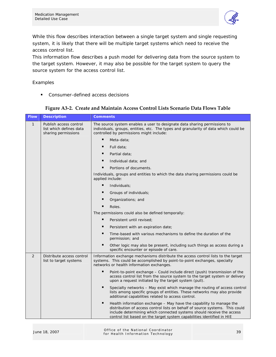

While this flow describes interaction between a single target system and single requesting system, it is likely that there will be multiple target systems which need to receive the access control list.

This information flow describes a push model for delivering data from the source system to the target system. However, it may also be possible for the target system to query the source system for the access control list.

### *Examples*

**Consumer-defined access decisions** 

| <b>Flow</b>  | <b>Description</b>                                                       | <b>Comments</b>                                                                                                                                                                                                                                                                                             |  |
|--------------|--------------------------------------------------------------------------|-------------------------------------------------------------------------------------------------------------------------------------------------------------------------------------------------------------------------------------------------------------------------------------------------------------|--|
| $\mathbf{1}$ | Publish access control<br>list which defines data<br>sharing permissions | The source system enables a user to designate data sharing permissions to<br>individuals, groups, entities, etc. The types and granularity of data which could be<br>controlled by permissions might include:                                                                                               |  |
|              |                                                                          | п<br>Meta-data;                                                                                                                                                                                                                                                                                             |  |
|              |                                                                          | п<br>Full data:                                                                                                                                                                                                                                                                                             |  |
|              |                                                                          | п<br>Partial data;                                                                                                                                                                                                                                                                                          |  |
|              |                                                                          | п<br>Individual data; and                                                                                                                                                                                                                                                                                   |  |
|              |                                                                          | Portions of documents.                                                                                                                                                                                                                                                                                      |  |
|              |                                                                          | Individuals, groups and entities to which the data sharing permissions could be<br>applied include:                                                                                                                                                                                                         |  |
|              |                                                                          | ٠<br>Individuals;                                                                                                                                                                                                                                                                                           |  |
|              |                                                                          | п<br>Groups of individuals;                                                                                                                                                                                                                                                                                 |  |
|              |                                                                          | п<br>Organizations; and                                                                                                                                                                                                                                                                                     |  |
|              |                                                                          | Roles.                                                                                                                                                                                                                                                                                                      |  |
|              |                                                                          | The permissions could also be defined temporally:                                                                                                                                                                                                                                                           |  |
|              |                                                                          | п<br>Persistent until revised;                                                                                                                                                                                                                                                                              |  |
|              |                                                                          | Е<br>Persistent with an expiration date;                                                                                                                                                                                                                                                                    |  |
|              |                                                                          | Time-based with various mechanisms to define the duration of the<br>permission; and                                                                                                                                                                                                                         |  |
|              |                                                                          | П<br>Other logic may also be present, including such things as access during a<br>specific encounter or episode of care.                                                                                                                                                                                    |  |
| 2            | Distribute access control<br>list to target systems                      | Information exchange mechanisms distribute the access control lists to the target<br>systems. This could be accomplished by point-to-point exchanges, specialty<br>networks or health information exchanges.                                                                                                |  |
|              |                                                                          | п<br>Point-to-point exchange – Could include direct (push) transmission of the<br>access control list from the source system to the target system or delivery<br>upon a request initiated by the target system (pull).                                                                                      |  |
|              |                                                                          | ٠<br>Specialty networks – May exist which manage the routing of access control<br>lists among specific groups of entities. These networks may also provide<br>additional capabilities related to access control.                                                                                            |  |
|              |                                                                          | п<br>Health information exchange - May have the capability to manage the<br>distribution of access control lists on behalf of source systems. This could<br>include determining which connected systems should receive the access<br>control list based on the target system capabilities identified in HIE |  |

### **Figure A3-2. Create and Maintain Access Control Lists Scenario Data Flows Table**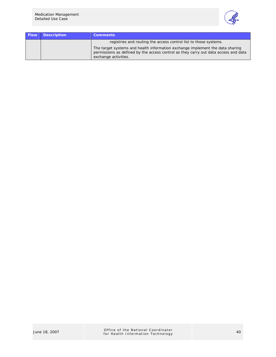

| <b>Flow</b> | <b>Description</b> | <b>Comments</b>                                                                                                                                                                              |
|-------------|--------------------|----------------------------------------------------------------------------------------------------------------------------------------------------------------------------------------------|
|             |                    | registries and routing the access control list to those systems.                                                                                                                             |
|             |                    | The target systems and health information exchange implement the data sharing<br>permissions as defined by the access control as they carry out data access and data<br>exchange activities. |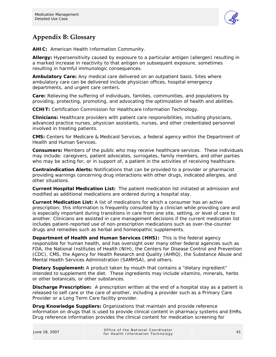

# **Appendix B: Glossary**

**AHIC:** American Health Information Community.

**Allergy:** Hypersensitivity caused by exposure to a particular antigen (allergen) resulting in a marked increase in reactivity to that antigen on subsequent exposure, sometimes resulting in harmful immunologic consequences.

**Ambulatory Care:** Any medical care delivered on an outpatient basis. Sites where ambulatory care can be delivered include physician offices, hospital emergency departments, and urgent care centers.

**Care:** Relieving the suffering of individuals, families, communities, and populations by providing, protecting, promoting, and advocating the optimization of health and abilities.

**CCHIT:** Certification Commission for Healthcare Information Technology.

**Clinicians:** Healthcare providers with patient care responsibilities, including physicians, advanced practice nurses, physician assistants, nurses, and other credentialed personnel involved in treating patients.

**CMS:** Centers for Medicare & Medicaid Services, a federal agency within the Department of Health and Human Services.

**Consumers:** Members of the public who may receive healthcare services. These individuals may include: caregivers, patient advocates, surrogates, family members, and other parties who may be acting for, or in support of, a patient in the activities of receiving healthcare.

**Contraindication Alerts:** Notifications that can be provided to a provider or pharmacist providing warnings concerning drug interactions with other drugs, indicated allergies, and other situations.

**Current Hospital Medication List:** The patient medication list initiated at admission and modified as additional medications are ordered during a hospital stay.

**Current Medication List:** A list of medications for which a consumer has an active prescription; this information is frequently consulted by a clinician while providing care and is especially important during transitions in care from one site, setting, or level of care to another. Clinicians are assisted in care management decisions if the current medication list includes patient-reported use of non-prescription medications such as over-the-counter drugs and remedies such as herbal and homeopathic supplements.

**Department of Health and Human Services (HHS):** This is the federal agency responsible for human health, and has oversight over many other federal agencies such as FDA, the National Institutes of Health (NIH), the Centers for Disease Control and Prevention (CDC), CMS, the Agency for Health Research and Quality (AHRQ), the Substance Abuse and Mental Health Services Administration (SAMHSA), and others.

**Dietary Supplement:** A product taken by mouth that contains a "dietary ingredient" intended to supplement the diet. These ingredients may include vitamins, minerals, herbs or other botanicals, or other substances.

**Discharge Prescription:** A prescription written at the end of a hospital stay as a patient is released to self care or the care of another, including a provider such as a Primary Care Provider or a Long Term Care facility provider.

**Drug Knowledge Suppliers:** Organizations that maintain and provide reference information on drugs that is used to provide clinical content in pharmacy systems and EHRs. Drug reference information provides the clinical content for medication screening for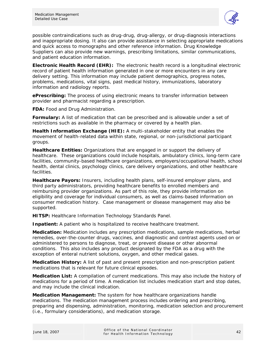

possible contraindications such as drug-drug, drug-allergy, or drug-diagnosis interactions and inappropriate dosing. It also can provide assistance in selecting appropriate medications and quick access to monographs and other reference information. Drug Knowledge Suppliers can also provide new warnings, prescribing limitations, similar communications, and patient education information.

**Electronic Health Record (EHR):** The electronic health record is a longitudinal electronic record of patient health information generated in one or more encounters in any care delivery setting. This information may include patient demographics, progress notes, problems, medications, vital signs, past medical history, immunizations, laboratory information and radiology reports.

**ePrescribing:** The process of using electronic means to transfer information between provider and pharmacist regarding a prescription.

**FDA:** Food and Drug Administration.

**Formulary:** A list of medication that can be prescribed and is allowable under a set of restrictions such as available in the pharmacy or covered by a health plan.

**Health Information Exchange (HIE):** A multi-stakeholder entity that enables the movement of health-related data within state, regional, or non-jurisdictional participant groups.

**Healthcare Entities:** Organizations that are engaged in or support the delivery of healthcare. These organizations could include hospitals, ambulatory clinics, long-term care facilities, community-based healthcare organizations, employers/occupational health, school health, dental clinics, psychology clinics, care delivery organizations, and other healthcare facilities.

**Healthcare Payors:** Insurers, including health plans, self-insured employer plans, and third party administrators, providing healthcare benefits to enrolled members and reimbursing provider organizations. As part of this role, they provide information on eligibility and coverage for individual consumers, as well as claims-based information on consumer medication history. Case management or disease management may also be supported.

**HITSP:** Healthcare Information Technology Standards Panel.

**Inpatient:** A patient who is hospitalized to receive healthcare treatment.

**Medication:** Medication includes any prescription medications, sample medications, herbal remedies, over-the-counter drugs, vaccines, and diagnostic and contrast agents used on or administered to persons to diagnose, treat, or prevent disease or other abnormal conditions. This also includes any product designated by the FDA as a drug with the exception of enteral nutrient solutions, oxygen, and other medical gases.

**Medication History:** A list of past and present prescription and non-prescription patient medications that is relevant for future clinical episodes.

**Medication List:** A compilation of current medications. This may also include the history of medications for a period of time. A medication list includes medication start and stop dates, and may include the clinical indication.

**Medication Management:** The system for how healthcare organizations handle medications. The medication management process includes ordering and prescribing, preparing and dispensing, administration, monitoring, medication selection and procurement (i.e., formulary considerations), and medication storage.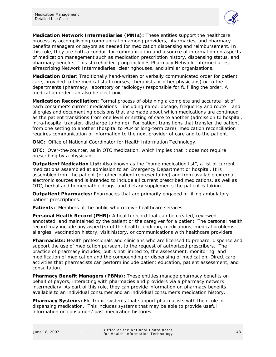

**Medication Network Intermediaries (MNIs):** These entities support the healthcare process by accomplishing communication among providers, pharmacies, and pharmacy benefits managers or payors as needed for medication dispensing and reimbursement. In this role, they are both a conduit for communication and a source of information on aspects of medication management such as medication prescription history, dispensing status, and pharmacy benefits. This stakeholder group includes Pharmacy Network Intermediaries, ePrescribing Network Intermediaries, clearinghouses, and similar organizations.

**Medication Order:** Traditionally hand-written or verbally communicated order for patient care, provided to the medical staff (nurses, therapists or other physicians) or to the departments (pharmacy, laboratory or radiology) responsible for fulfilling the order. A medication order can also be electronic.

**Medication Reconciliation:** Formal process of obtaining a complete and accurate list of each consumer's current medications – including name, dosage, frequency and route – and allergies and documenting decisions that are made about which medications are continued as the patient transitions from one level or setting of care to another (admission to hospital, intra-hospital transfer, discharge to home). For patient transitions that transfer the patient from one setting to another (hospital to PCP or long-term care), medication reconciliation requires communication of information to the next provider of care and to the patient.

**ONC:** Office of National Coordinator for Health Information Technology.

**OTC:** Over-the-counter, as in OTC medication, which implies that it does not require prescribing by a physician.

**Outpatient Medication List:** Also known as the "home medication list", a list of current medications assembled at admission to an Emergency Department or hospital. It is assembled from the patient (or other patient representative) and from available external electronic sources and is intended to include all current prescribed medications, as well as OTC, herbal and homeopathic drugs, and dietary supplements the patient is taking.

**Outpatient Pharmacies:** Pharmacies that are primarily engaged in filling ambulatory patient prescriptions.

**Patients:** Members of the public who receive healthcare services.

**Personal Health Record (PHR):** A health record that can be created, reviewed, annotated, and maintained by the patient or the caregiver for a patient. The personal health record may include any aspect(s) of the health condition, medications, medical problems, allergies, vaccination history, visit history, or communications with healthcare providers.

**Pharmacists:** Health professionals and clinicians who are licensed to prepare, dispense and support the use of medication pursuant to the request of authorized prescribers. The practice of pharmacy includes, but is not limited to, the assessment, monitoring, and modification of medication and the compounding or dispensing of medication. Direct care activities that pharmacists can perform include patient education, patient assessment, and consultation.

**Pharmacy Benefit Managers (PBMs):** These entities manage pharmacy benefits on behalf of payors, interacting with pharmacies and providers via a pharmacy network intermediary. As part of this role, they can provide information on pharmacy benefits available to an individual consumer and an individual consumer's medication history.

**Pharmacy Systems:** Electronic systems that support pharmacists with their role in dispensing medication. This includes systems that may be able to provide useful information on consumers' past medication histories.